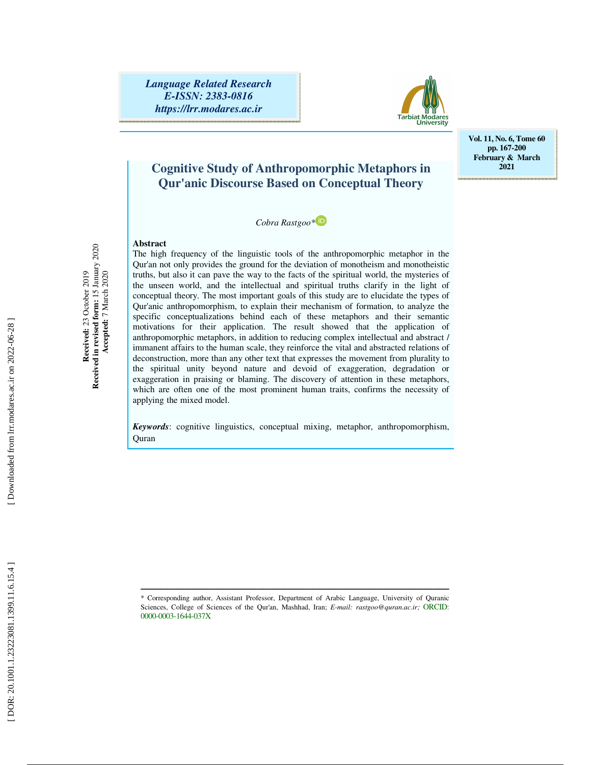*Language Related Research E-ISSN: 2383-0816 https://lrr.modares.ac.ir*



**Vol. 11, No. 6, Tome 60 pp. 167-200 February & March 2021** 

## **Cognitive Study of Anthropomorphic Metaphors in Qur'anic Discourse Based on Conceptual Theory**

*Cobra Rastgoo\**

### **Abstract**

Received: 23 October 2019<br>Received in revised form: 15 January 2020<br>Accepted: 7 March 2020 **Received in revised form:** 15 January 2020 **Received:** 23 October 2019  **Accepted:** 7 March 2020

The high frequency of the linguistic tools of the anthropomorphic metaphor in the Qur'an not only provides the ground for the deviation of monotheism and monotheistic truths, but also it can pave the way to the facts of the spiritual world, the mysteries of the unseen world, and the intellectual and spiritual truths clarify in the light of conceptual theory. The most important goals of this study are to elucidate the types of Qur'anic anthropomorphism, to explain their mechanism of formation, to analyze the specific conceptualizations behind each of these metaphors and their semantic motivations for their application. The result showed that the application of anthropomorphic metaphors, in addition to reducing complex intellectual and abstract / immanent affairs to the human scale, they reinforce the vital and abstracted relations of deconstruction, more than any other text that expresses the movement from plurality to the spiritual unity beyond nature and devoid of exaggeration, degradation or exaggeration in praising or blaming. The discovery of attention in these metaphors, which are often one of the most prominent human traits, confirms the necessity of applying the mixed model.

*Keywords*: cognitive linguistics, conceptual mixing, metaphor, anthropomorphism, **Ouran** 

ــــــــــــــــــــــــــــــــــــــــــــــــــــــــــــــــــــــــــــــــــــــــــــــــــــــــــــــــــــــــــــــــــــــــــ \* Corresponding author, Assistant Professor, Department of Arabic Language, University of Quranic Sciences, College of Sciences of the Qur'an, Mashhad, Iran; *E-mail: rastgoo@quran.ac.ir;* ORCID: 0000-0003-1644-037X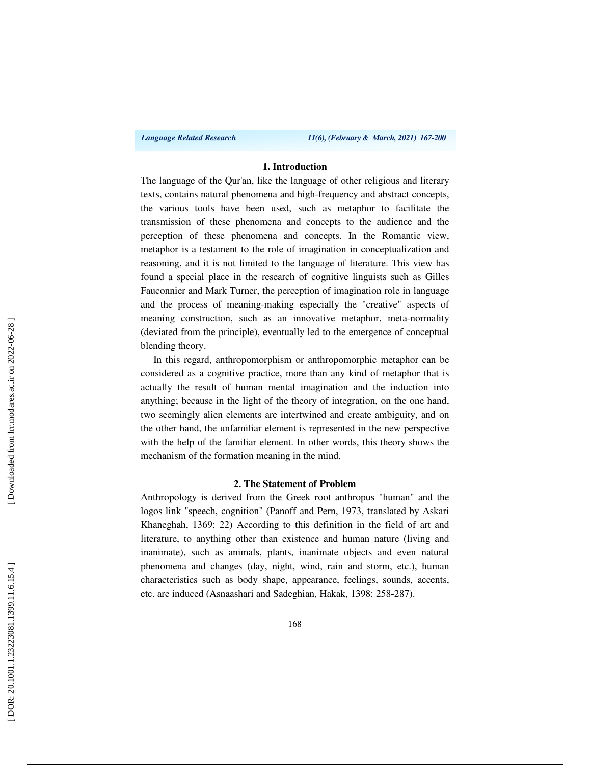*Language Related Research 11(6), (February & March, 2021) 167-200*

### **1. Introduction**

The language of the Qur'an, like the language of other religious and literary texts, contains natural phenomena and high-frequency and abstract concepts, the various tools have been used, such as metaphor to facilitate the transmission of these phenomena and concepts to the audience and the perception of these phenomena and concepts. In the Romantic view, metaphor is a testament to the role of imagination in conceptualization and reasoning, and it is not limited to the language of literature. This view has found a special place in the research of cognitive linguists such as Gilles Fauconnier and Mark Turner, the perception of imagination role in language and the process of meaning-making especially the "creative" aspects of meaning construction, such as an innovative metaphor, meta-normality (deviated from the principle), eventually led to the emergence of conceptual blending theory.

In this regard, anthropomorphism or anthropomorphic metaphor can be considered as a cognitive practice, more than any kind of metaphor that is actually the result of human mental imagination and the induction into anything; because in the light of the theory of integration, on the one hand, two seemingly alien elements are intertwined and create ambiguity, and on the other hand, the unfamiliar element is represented in the new perspective with the help of the familiar element. In other words, this theory shows the mechanism of the formation meaning in the mind.

### **2. The Statement of Problem**

Anthropology is derived from the Greek root anthropus "human" and the logos link "speech, cognition" (Panoff and Pern, 1973, translated by Askari Khaneghah, 1369: 22) According to this definition in the field of art and literature, to anything other than existence and human nature (living and inanimate), such as animals, plants, inanimate objects and even natural phenomena and changes (day, night, wind, rain and storm, etc.), human characteristics such as body shape, appearance, feelings, sounds, accents, etc. are induced (Asnaashari and Sadeghian, Hakak, 1398: 258-287).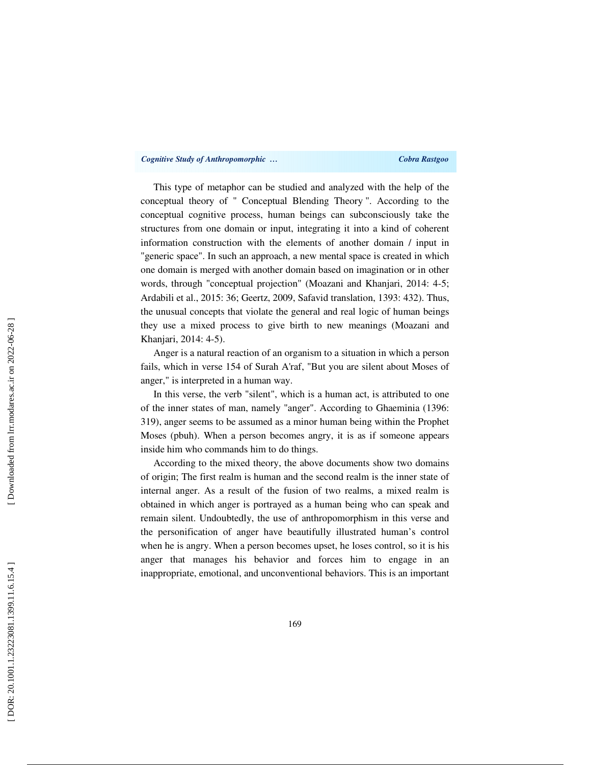### *Cognitive Study of Anthropomorphic … Cobra Rastgoo*

This type of metaphor can be studied and analyzed with the help of the conceptual theory of " Conceptual Blending Theory ". According to the conceptual cognitive process, human beings can subconsciously take the structures from one domain or input, integrating it into a kind of coherent information construction with the elements of another domain / input in "generic space". In such an approach, a new mental space is created in which one domain is merged with another domain based on imagination or in other words, through "conceptual projection" (Moazani and Khanjari, 2014: 4-5; Ardabili et al., 2015: 36; Geertz, 2009, Safavid translation, 1393: 432). Thus, the unusual concepts that violate the general and real logic of human beings they use a mixed process to give birth to new meanings (Moazani and Khanjari, 2014: 4-5).

Anger is a natural reaction of an organism to a situation in which a person fails, which in verse 154 of Surah A'raf, "But you are silent about Moses of anger," is interpreted in a human way.

In this verse, the verb "silent", which is a human act, is attributed to one of the inner states of man, namely "anger". According to Ghaeminia (1396: 319), anger seems to be assumed as a minor human being within the Prophet Moses (pbuh). When a person becomes angry, it is as if someone appears inside him who commands him to do things.

According to the mixed theory, the above documents show two domains of origin; The first realm is human and the second realm is the inner state of internal anger. As a result of the fusion of two realms, a mixed realm is obtained in which anger is portrayed as a human being who can speak and remain silent. Undoubtedly, the use of anthropomorphism in this verse and the personification of anger have beautifully illustrated human's control when he is angry. When a person becomes upset, he loses control, so it is his anger that manages his behavior and forces him to engage in an inappropriate, emotional, and unconventional behaviors. This is an important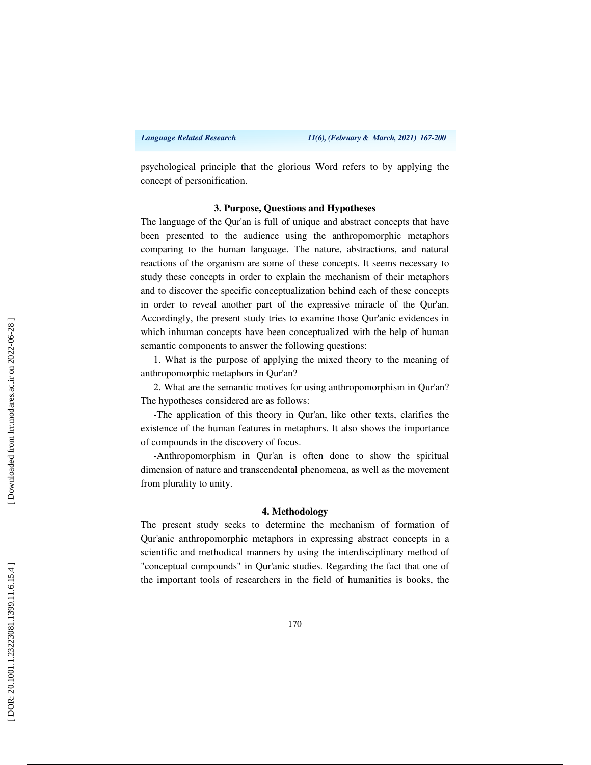psychological principle that the glorious Word refers to by applying the concept of personification.

### **3. Purpose, Questions and Hypotheses**

The language of the Qur'an is full of unique and abstract concepts that have been presented to the audience using the anthropomorphic metaphors comparing to the human language. The nature, abstractions, and natural reactions of the organism are some of these concepts. It seems necessary to study these concepts in order to explain the mechanism of their metaphors and to discover the specific conceptualization behind each of these concepts in order to reveal another part of the expressive miracle of the Qur'an. Accordingly, the present study tries to examine those Qur'anic evidences in which inhuman concepts have been conceptualized with the help of human semantic components to answer the following questions:

1. What is the purpose of applying the mixed theory to the meaning of anthropomorphic metaphors in Qur'an?

2. What are the semantic motives for using anthropomorphism in Qur'an? The hypotheses considered are as follows:

-The application of this theory in Qur'an, like other texts, clarifies the existence of the human features in metaphors. It also shows the importance of compounds in the discovery of focus.

-Anthropomorphism in Qur'an is often done to show the spiritual dimension of nature and transcendental phenomena, as well as the movement from plurality to unity.

### **4. Methodology**

The present study seeks to determine the mechanism of formation of Qur'anic anthropomorphic metaphors in expressing abstract concepts in a scientific and methodical manners by using the interdisciplinary method of "conceptual compounds" in Qur'anic studies. Regarding the fact that one of the important tools of researchers in the field of humanities is books, the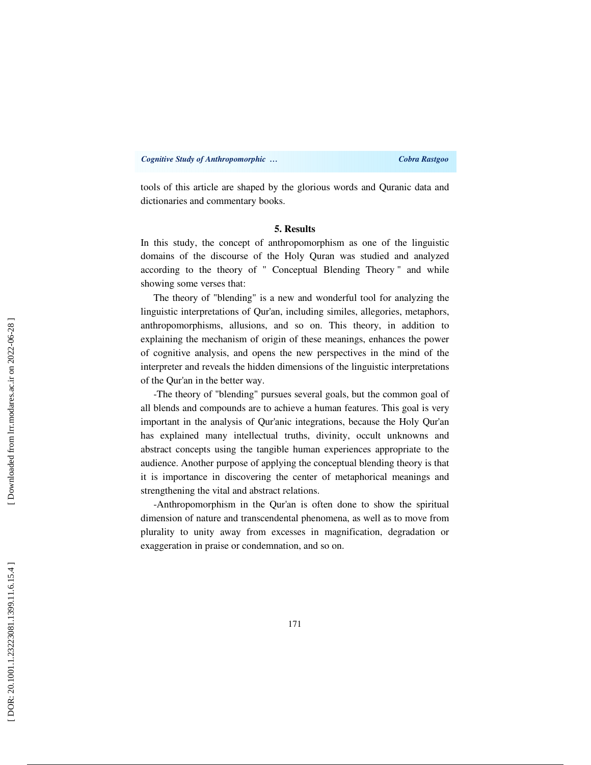tools of this article are shaped by the glorious words and Quranic data and dictionaries and commentary books.

### **5. Results**

In this study, the concept of anthropomorphism as one of the linguistic domains of the discourse of the Holy Quran was studied and analyzed according to the theory of " Conceptual Blending Theory " and while showing some verses that:

The theory of "blending" is a new and wonderful tool for analyzing the linguistic interpretations of Qur'an, including similes, allegories, metaphors, anthropomorphisms, allusions, and so on. This theory, in addition to explaining the mechanism of origin of these meanings, enhances the power of cognitive analysis, and opens the new perspectives in the mind of the interpreter and reveals the hidden dimensions of the linguistic interpretations of the Qur'an in the better way.

-The theory of "blending" pursues several goals, but the common goal of all blends and compounds are to achieve a human features. This goal is very important in the analysis of Qur'anic integrations, because the Holy Qur'an has explained many intellectual truths, divinity, occult unknowns and abstract concepts using the tangible human experiences appropriate to the audience. Another purpose of applying the conceptual blending theory is that it is importance in discovering the center of metaphorical meanings and strengthening the vital and abstract relations.

-Anthropomorphism in the Qur'an is often done to show the spiritual dimension of nature and transcendental phenomena, as well as to move from plurality to unity away from excesses in magnification, degradation or exaggeration in praise or condemnation, and so on.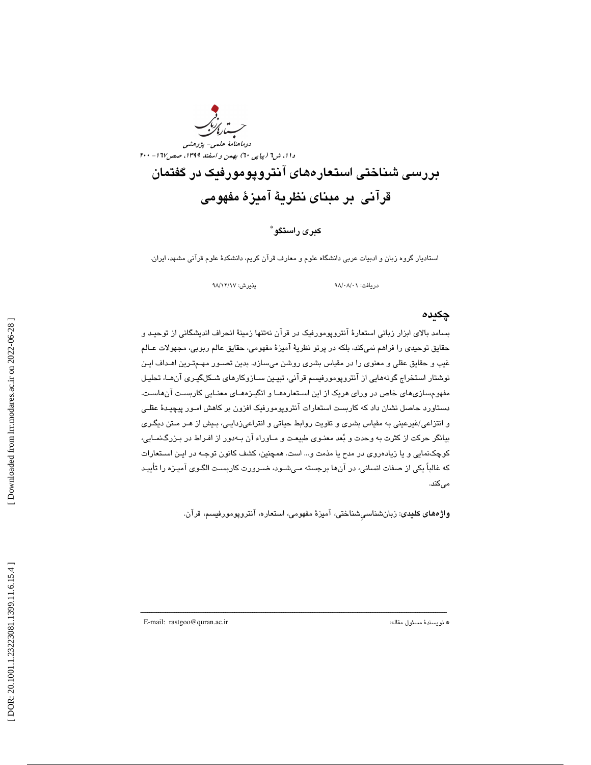

### كبري راستگو \*

استاديار گروه زبان و ادبيات عربي دانشگاه علوم و معارف قرآن كريم، دانشكدة علوم قرآني مشهد، ايران.

دريافت: ٩٨/٠٨/٠١ پذيرش: ٩٨/١٢/١٧

### چكيده

بسامد بالاي ابزار زباني استعارة آنتروپومورفيك در قرآن نهتنها زمينة انحراف انديشگاني از توحيـد و حقايق توحيدي را فراهم نميكند، بلكه در پرتو نظرية آميزة مفهومي، حقايق عالم ربوبي، مجهولات عـالم غيب و حقايق عقلي و معنوي را در مقياس بشري روشن ميسازد. بدين تصـور مهـم تـرين اهـداف ايـن نوشتار استخراج گونههايي از آنتروپومورفيسم قرآني، تبيـين سـازوكارهاي شـكل گيـري آن هـا، تحليـل مفهومسازيهاي خاص در وراي هريك از اين اسـتعاره هـا و انگيـزه هـاي معنـايي كاربسـت آن هاسـت. دستاورد حاصل نشان داد كه كاربست استعارات آنتروپومورفيك افزون بر كاهش امـور پيچيـدة عقلـي و انتزاعي/غيرعيني به مقياس بشري و تقويت روابط حياتي و انتراعيزدايـي، بـيش از هـر مـتن ديگـري بيانگر حركت از كثرت به وحدت و بعد معنـوي طبيعـت و مـاوراء آن بـه دور از افـراط در بـزرگ نمـايي، كوچكنمايي و يا زيادهروي در مدح يا مذمت و... است. همچنين، كشف كانون توجـه در ايـن اسـتعارات كه غالباً يكي از صفات انساني، در آنها برجسته مـي شـود، ضـرورت كاربسـت الگـوي آميـزه را تأييـد ميكند.

ـــــــــــــــــــــــــــــــــــــــــــــــــــــــــــــــــــــــــــــــــــــــــــــــــــــــــــــــــــــــــــــــــــــــــ

واژههاي كليدي: زبانشناسيِشناختي، آميزة مفهومي، استعاره، آنتروپومورفيسم، قرآن.

E-mail: rastgoo@quran.ac.ir :مقاله مسئول نويسندة\*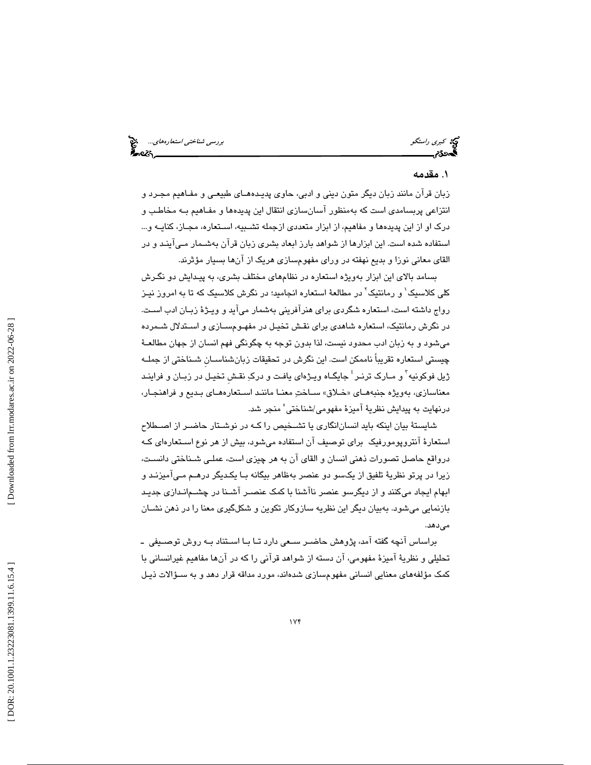كبري راستگو بررسي شناختي استعارههاي...<br>استعارههاي بررسي شناختي استعارههاي بررسي شناختي استعارههاي بررسي شناختي استعارههاي...<br>استعارههاي بررسي

## ۱. مقدمه

زبان قرآن مانند زبان ديگر متون ديني و ادبي، حاوي پديـدههـاي طبيعـي و مفـاهيم مجـرد و انتزاعي پربسامدي است كه بهمنظور آسانسازي انتقال اين پديدهها و مفـاهيم بـه مخاطـب و درک او از اين پديدهها و مفاهيم، از ابزار متعددي ازجمله تشـبيه، اسـتعاره، مجـاز، كنايــه و... استفاده شده است. اين ابزارها از شواهد بارز ابعاد بشري زبان قرآن بهشـمار مـيآينـد و در القاي معاني نوزا و بديع نهفته در وراي مفهومسازي هريک از آنها بسيار مؤثرند.

بسامد بالاي اين ابزار بهويژه استعاره در نظامهاي مختلف بشري، به پيـدايش دو نگـرش كلى كلاسيك` و رمانتيك<sup>۲</sup> در مطالعهٔ استعاره انجاميد؛ در نگرش كلاسيک كه تا به امروز نيـز رواج داشته است، استعاره شگردي براي هنرآفريني بهشمار ميآيد و ويـژة زبـان ادب اسـت. در نگرش رمانتيك، استعاره شاهدي براي نقـش تخيـل در مفهـوم سـازي و اسـتدلال شـمرده ميشود و به زبان ادب محدود نيست، لذا بدون توجه به چگونگي فهم انسان از جهان مطالعـة چيستي استعاره تقريباً ناممكن است. اين نگرش در تحقيقات زبانشناسـانِ شـناختي از جملـه ژيل فوكونيه<sup>۲</sup> و مـارک ترنـر <sup>؛</sup> جايگـاه ويـژهاى يافـت و دركِ نقـش تخيـل در زبـان و فراينـد معناسازی، بەويژه جنبەھـای «خـلاق» سـاختِ معنـا ماننـد اسـتعارەھـای بـدیع و فراھنجـار، درنهايت به پيدايش نظريهٔ آميزهٔ مفهومی/شناختی ٔ منجر شد.

شايستة بيان اينكه بايد انسانانگاري يا تشـخيص را كـه در نوشـتار حاضـر از اصـطلاح استعارة آنتروپومورفيك براي توصيف آن استفاده ميشود، بيش از هر نوع اسـتعاره اي كـه درواقع حاصل تصورات ذهني انسان و القاي آن به هر چيزي است، عملـي شـناختي دانسـت، زيرا در پرتو نظرية تلفيق از يكسو دو عنصر بهظاهر بيگانه بـا يكـديگر درهـم مـي آميزنـد و ابهام ايجاد ميكنند و از ديگرسو عنصر ناآشنا با كمك عنصـر آشـنا در چشـم انـدازي جديـد بازنمايي ميشود. بهبيان ديگر اين نظريه سازوكار تكوين و شكلگيري معنا را در ذهن نشـان مي دهد.

براساس آنچه گفته آمد، پژوهش حاضـر سـعي دارد تـا بـا اسـتناد بـه روش توصـيفي ـ تحليلي و نظرية آميزة مفهومي، آن دسته از شواهد قرآني را كه در آنها مفاهيم غيرانساني با 1 كمك مؤلفههاي معنايي انساني مفهومسازي شدهاند، مورد مداقه قرار دهد و به سـؤالات ذيـل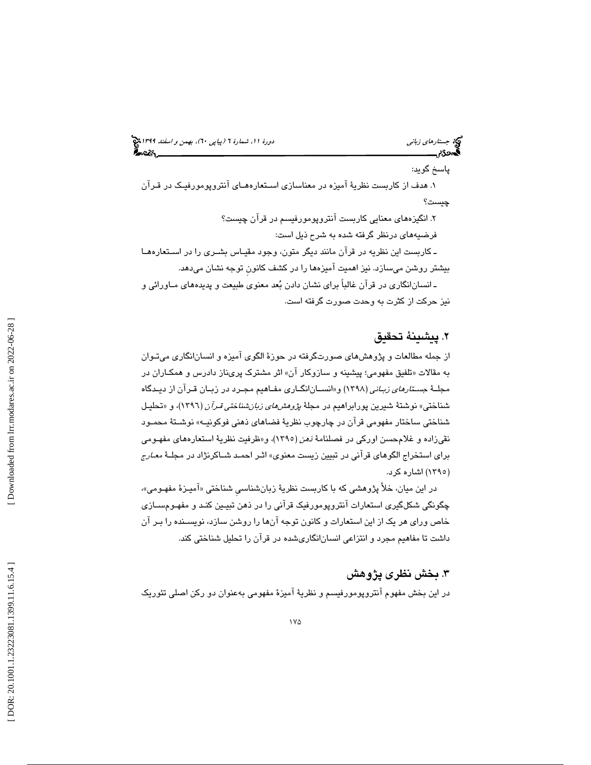جستار*هاي زباني (بياپي 60)، بهمن و اسفند 1*398 هجرا بياني دورة 11، شمارة 1 (پياپي ٢٠)، بهم*ن و اسفند 1*394 هج پاسخ گويد: 1. هدف از كاربست نظر ية آميزه در معناسازي اسـتعاره هـاي آنتروپومورفيـك در قـرآن چيست ؟ . انگيزههاي معنايي كاربست آنتروپومورفيسم در قرآن چيست؟ 2 فرضيههاي درنظر گرفته شده به شرح ذيل است: ـ كاربست اين نظريه در قرآن مانند ديگر متون، وجود مقيـاس بشـر ي را در اسـتعاره هـا بيشتر روشن م يسازد . نيز اهميت آميزهها را در كشف كانونِ توجه نشان ميدهد.

ـ انسانانگاري در قرآن غالباً براي نشان دادن بعد معنوي طبيعت و پديدههاي مـاورائي و نيز حركت از كثرت به وحدت صورت گرفته است.

## . پيشينة تحقيق 2

از جمله مطالعات و پژوهشهاي صورتگرفته در حوزة الگوي آميزه و انسانانگاري ميتـوان به مقالات «تلفيق مفهومي؛ پيشينه و سازوكار آن» اثر مشترک پرىناز دادرس و همكــاران در مجلــهٔ ج*سـتارهای زبـانی* (۱۳۹۸) و«انســان|نگــاری مفــاهیم مجــرد در زبــان قــران از دیــدگاه شناختی» نوشتهٔ شیرین پورابراهیم در مجلهٔ *پژوهشهای زبانشناختی قـرآن* (۱۳۹۲)، و «تحلیـل شناختي ساختار مفهومي قرآن در چارچوب نظرية فضاهاي ذهني فوكونيـه » نوشـتة محمـود نقيزاده و غلامحسن اوركي در فصلنامهٔ *نهن* (١٣٩٥)، و«ظرفيت نظريهٔ استعارههاي مفهـومي براي استخراج الگوهاي قرآني در تبيين زيست معنوي» اثـر احمـد شـاكرنژاد در مجلـة معـارج (۱۳۹۰) اشاره كرد.

در اين ميان، خلا پژوهشي كه با كاربست نظريهٔ زبانشناسي شناختي «اميـزهٔ مفهـومي»، چگونگي شكلگيري استعارات آنتروپومورفيك قرآني را در ذهن تبيـين كنـد و مفهـوم سـازي خاص وراي هر يك از اين استعارات و كانون توجه آنها را روشن سازد، نويسـنده را بـر آن داشت تا مفاهيم مجرد و انتزاعي انسانانگاريشده در قرآن را تحليل شناختي كند.

## . بخش نظري پژوهش 3

در اين بخش مفهوم آنتروپومورفيسم و نظرية آميزة مفهومي بهعنوان دو ركن اصلي تئوريك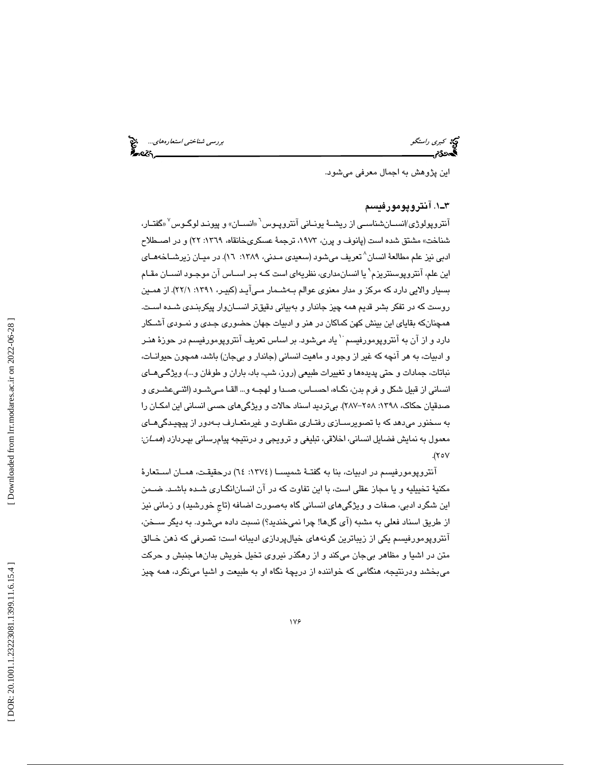كبري راستگو بررسي شناخت*ي استعارههاي...*<br>گ**بر**رسي شناختي استعارههاي...<br>**گبردي:** 

اين پژوهش به اجمال معرفي ميشود.

### 1ـ3 . آنتروپومورفيسم

آنتروپولوژي/انســانشناســي از ريشــهٔ يونــاني آنتروپـوس<sup>٦</sup> «انســان» و پيونـد لوگـوس<sup>٧</sup> «گفتــار، شناخت» مشتق شده است (پانوف و پرن، ،1973 ترجمة عسكريخانقاه، :1369 22) و در اصـطلاح ادبي نيز علم مطالعهٔ انسان^تعريف ميشود (سعيدي مـدني، ١٣٨٩: ١٦). در ميـان زيرشــاخههـاي این علم، آنتروپوسنتریزم` یا انسان،داری، نظریهای است کـه بـر اسـاس آن موجـود انسـان مقـام بسيار والايي دارد كه مركز و مدار معنوي عوالم بـه شـمار مـي آيـد (كبيـر، 1391 :1/ 22). از همـين روست كه در تفكر بشر قديم همه چيز جاندار و بهبياني دقيقتر انسـان وار پيكربنـدي شـده اسـت. همچنانكه بقاياي اين بينش كهن كماكان در هنر و ادبيات جهان حضوري جـدي و نمـودي آشـكار دارد و از آن به آنتروپومورفيسم ٔ یاد میشود. بر اساس تعریف آنتروپومورفيسم در حوزهٔ هنـر و ادبيات، به هر آنچه كه غير از وجود و ماهيت انساني (جاندار و بيجان) باشد، همچون حيوانـات، نباتات، جمادات و حتي پديدهها و تغييرات طبيعي (روز، شب، باد، باران و طوفان و...)، ويژگـي هـاي انساني از قبيل شكل و فرم بدن، نگـاه، احسـاس، صـدا و لهجـه و... القـا مـي شـود (اثنـي عشـري و صدقيان حكاك، ١٣٩٨: ٢٥٨–٢٨٧). بيترديد اسناد حالات و ويژگيهاي حسي انساني اين امكـان را به سخنور ميدهد كه با تصويرسـازي رفتـاري متفـاوت و غيرمتعـارف بـه دور از پيچيـدگي هـاي معمول به نمايش فضايل انساني، اخلاقي، تبليغي و ترويجي و درنتيجه پيامرساني بپـردازد ( همـان :  $(\forall \circ \lor$ 

آنتروپومورفيسم در ادبيات، بنا به گفتـة شميسـا ( :1374 64) درحقيقـت، همـان اسـتعارة مكنية تخييليه و يا مجاز عقلي است، با اين تفاوت كه در آن انسانانگـاري شـده باشـد. ضـمن اين شگرد ادبي، صفات و ويژگيهاي انساني گاه بهصورت اضافه (تاجِ خورشيد) و زماني نيز از طريق اسناد فعلي به مشبه (آي گلها! چرا نميخنديد؟) نسبت داده ميشود. به ديگر سـخن، آنتروپومورفيسم يكي از زيباترين گونههاي خيالپردازي اديبانه است؛ تصرفي كه ذهن خـالق متن در اشيا و مظاهر بيجان ميكند و از رهگذر نيروي تخيل خويش بدانها جنبش و حركت 6 ميبخشد ودرنتيجه، هنگامي كه خواننده از دريچة نگاه او به طبيعت و اشيا مينگرد، همه چيز

 [\[ DOR: 20.1001.1.23223081.1399.11.6.15](https://dorl.net/dor/20.1001.1.23223081.1399.11.6.15.4).4 ] [\[ Downloaded from lrr.modares.ac.ir on 20](https://lrr.modares.ac.ir/article-14-34917-fa.html)22-06-28 ] Downloaded from lrr.modares.ac.ir on 2022-06-28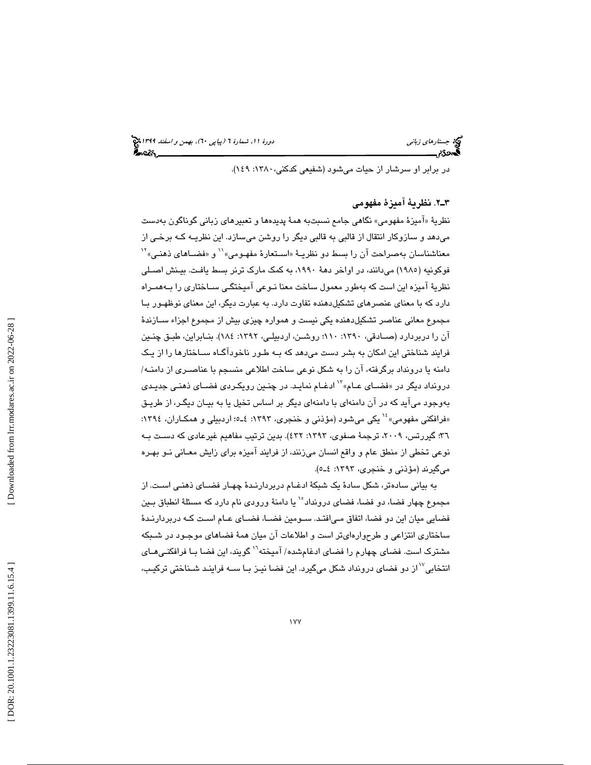در برابر او سرشار از حيات ميشود (شفيعي كدكني:1380، 149 ).

### 2ـ3 . نظرية آميزة مفهومي

نظريةَ «اميزة مفهومي» نگاهي جامع نسبتبه همهٔ پديدهها و تعبيرهاي زباني گوناگون بهدست میدهد و سـازوکار انتقال از قالبی به قالبی دیگر را روشن میسـازد. این نظریــه کــه برخـی از<br>معناشناسـان بهصـراحت آن را بسط دو نظریــهٔ «اســتعارهٔ مفهـومی»'` و «فضــاهای ذهنـی» ّ` 1985) ميدانند، در اواخر دهة ،1990 به كمك مارك ترنر بسط يافـت. بيـنش اصـلي فوكونيه ( نظرية آميزه اين است كه بهطور معمول ساخت معنا نـوعي آميختگـ ي سـاختاري را بـه همـراه دارد كه با معناي عنصرهاي تشكيلدهنده تفاوت دارد. به عبارت ديگر، اين معناي نوظهـور بـا مجموع معاني عناصر تشكيلدهنده يكي نيست و همواره چيزي بيش از مجموع اجزاء سـازندة آن را دربردارد (صـادقي، :1390 110؛ روشـن، اردبيلـي، :1392 184). بنـابراين، طبـق چنـين فرايند شناختی اين امکان به بشر دست میدهد که بــه طـور ناخوداگــاه ســاختارها را از يـک دامنه یا درونداد برگرفته، آن را به شكل نوعی ساخت اطلاعی منسجم با عناصـری از دامنــه/<br>درونداد دیگر در «فضــای عــام» <sup>۱۹</sup> ادغــام نمایـد. در چنـین رویكـردی فضــای ذهنـی جدیـد*ی* بهوجود مي آيد كه در آن دامنهاي با دامنهاي ديگر بر اساس تخيل يا به بيـان ديگـر، از طريـق بهوجود میاید که در ان دامنهای با دامنهای دیگر بر اساس تخیل یا به بیـان دیگـر، از طریـق<br>«فرافکنی مفهومی» ٔ` یکی میشود (مؤذنی و خنجری، ۱۳۹۳: ٤ـ٥؛ اردبیلی و همکـاران، ۱۳۹٤: ٣٦؛ گيررتس، ٢٠٠٩، ترجمهٔ صفوي، ١٣٩٣: ٤٣٢). بدين ترتيب مفاهيم غيرعادي كه دسـت بـه نوعي تخطي از منطق عام و واقع انسان ميزنند، از فرايند اميزه براي زايش معـاني نــو بهـره ميگيرند (مؤذني و خنجري، ١٣٩٣: ٤ـ٥).

به بياني سادهتر، شكل سادهٔ يک شبکهٔ ادغـام دربردارنـدهٔ چهـار فضـای ذهنـی اسـت. از مجموع چهار فضا، دو فضا، فضای درونداد<sup>ه ۱</sup> یا دامنهٔ ورودی نام دارد که مسئلهٔ انطباق بـین فضايي ميان اين دو فضا، اتفاق مـي|فتـد. سـومين فضــا، فضــاي عــام اسـت كـه دربردارنـدهٔ ساختاري انتزاعي و طرحوارهايتر است و اطلاعات آن ميان همهٔ فضاهاي موجـود در شـبكه مشترک است. فضای چهارم را فضای ادغامشده/ آمیخته<sup>۱٬</sup> گویند، این فضا بـا فرافکنـی۵ــای<br>انتخابی<sup>۷٬</sup> از دو فضای درونداد شکل میگیرد. این فضا نیـز بـا ســه فراینـد شـناختی ترکیـب،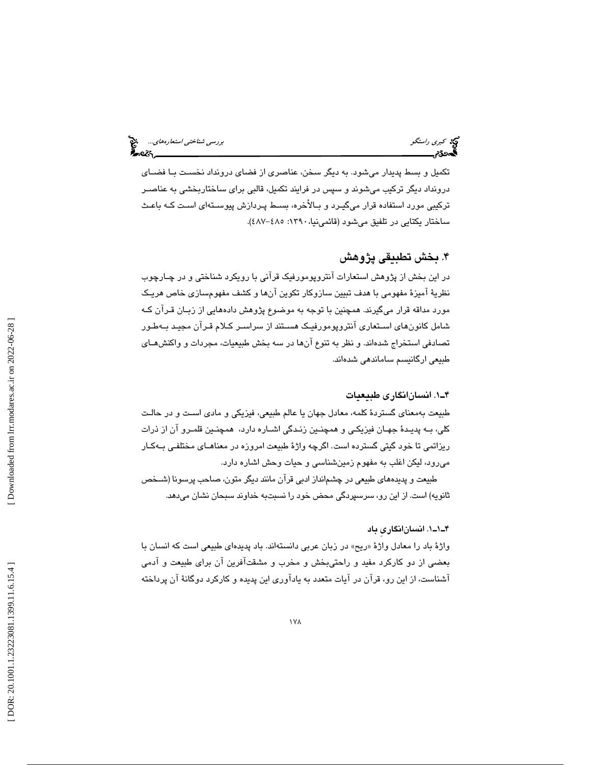# كبري راستگو بررسي شناختي استعارههاي...

تكميل و بسط پديدار ميشود. به ديگر سخن، عناصري از فضاي درونداد نخسـت بـا فضـاي درونداد ديگر تركيب ميشوند و سپس در فرايند تكميل، قالبي براي ساختاربخشي به عناصـر تركيبي مورد استفاده قرار ميگيـرد و بـالأ خره، بسـط پـردازش پيوسـته اي اسـت كـه باعـث ساختار يكتايى در تلفيق مىشود (قائمىنيا،١٣٩٠: ٤٨٧–٤٨٧).

### . بخش تطبيقي پژوهش 4

در اين بخش از پژوهش استعارات آنتروپومورفيك قرآني با رويكرد شناختي و در چـارچوب نظرية آميزة مفهومي با هدف تبيين سازوكار تكوين آنها و كشف مفهو مسازي خاص هريـك مورد مداقه قرار ميگيرند. همچنين با توجه به موضوع پژوهش دادههايي از زبـان قـرآن كـه شامل كانونهاي اسـتعاري آنتروپومورفيـك هسـتند از سراسـر كـلام قـرآن مجيـد بـه طـور تصادفي استخراج شدهاند. و نظر به تنوع آنها در سه بخش طبيعيات، مجردات و واكنشهـاي طبيعي ارگانيسم ساماندهي شدهاند.

### 1ـ4 . انسانانگاري طبيعيات

طبيعت به معناي گستردهٔ كلمه، معادل جهان يا عالم طبيعي، فيزيكي و مادي اسـت و در حالـت كلي، بـه پديـدهٔ جهـان فيزيكـي و همچنـين زنـدگي اشــاره دارد، همچنـين قلمـرو آن از ذرات ريزاتمي تا خود گيتي گسترده است. اگرچه واژهٔ طبيعت امروزه در معناهـاي مختلفـي بـهکـار مي رود، ليكن اغلب به مفهوم زمين شناسي و حيات وحش اشاره دارد.

طبيعت و پديدههاي طبيعي در چشم|نداز ادبي قران مانند ديگر متون، صاحب پرسونا (شــخص ثانويه) است. از اين رو، سرسپردگي محض خود را نسبتبه خداوند سبحان نشان ميدهد.

### 1ـ1ـ4 . انسانانگاريِ باد

واژهٔ باد را معادل واژهٔ «ریح» در زبان عربی دانستهاند. باد پدیدهای طبیعی است كه انسان با بعضی از دو كاركرد مفيد و راحتىبخش و مخرب و مشقتآفرين آن برای طبيعت و ادمی آشناست، از اين رو، قرآن در آيات متعدد به يادآوري اين پديده و كاركرد دوگانهٔ آن پرداخته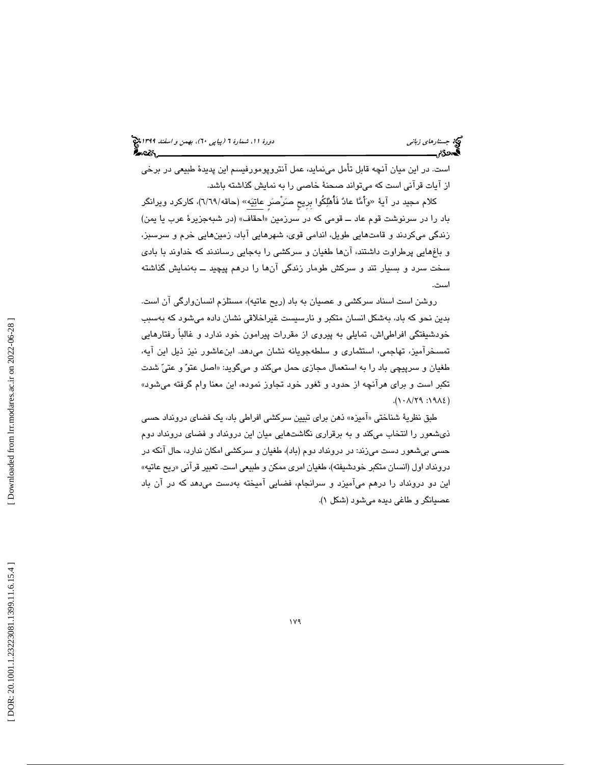است. در اين ميان آنچه قابل تأمل مينمايد، عمل آنتروپومورفيسم اين پديدة طبيعي در برخي از آيات قرآني است كه ميتواند صحنة خاصي را به نمايش گذاشته باشد.

كلام مجيد در آيهٔ «وَأَمَّا عادٌ فَأَهْلِكُوا بِرِيحٍ صَرْصَرَ عاتِيَه» (حاقه/٦/٦٩)، كاركرد ويرانگر باد را در سرنوشت قوم عاد ــ قومى كه در سرزمين « احقاف» (در شبهجزير ة عرب يا يمن ) زندگى مىكردند و قامتهايى طويل، اندامى قوى، شهرهايى آباد، زمينهايى خرم و سرسبز، و باغهايى پرطراوت داشتند، آنها طغيان و سركشى را ب هجايى رساندند كه خداوند با بادي سخت سرد و بسیار تند و سرکش طومار زندگی انها را درهم پیچید ـــ بهنمایش گذاشته است.

روشن است اسناد سركشي و عصيان به باد (ريح عاتيه)، مستلزم انسانوارگي آن است. بدين نحو كه باد، بهشكل انسان متكبر و نارسيست غيراخلاقي نشان داده ميشود كه بهسبب خودشيفتگي افراطياش، تمايلي به پيروي از مقررات پيرامون خود ندارد و غالباً رفتارهايي تمسخرآميز، تهاجمي، استثماري و سلطهجويانه نشان ميدهد. ابنعاشور نيز ذيل اين آيه، طغيان و سرپيچي باد را به استعمال مجازی حمل ميكند و ميگويد: «اصل عتوّ و عتيّ شدت تكبر است و براي هرآنچه از حدود و ثغور خود تجاوز نموده، اين معنا وام گرفته ميشود» ( ١٩٨٤: ٢٩/٢٩.).

طبق نظريهٔ شناختی «اميزه» ذهن برای تبيين سركشی افراطی باد، يک فضای درونداد حسی ذي شعور را انتخاب مي كند و به برقراري نگاشتهايي ميان اين درونداد و فضاي درونداد دوم حسي بيشعور دست مي;ند: در درونداد دوم (باد)، طغيان و سركشي امكان ندارد، حال آنكه در درونداد اول (انسان متكبر خودشيفته)، طغيان امري ممكن و طبيعي است. تعبير قرآني «ريح عاتيه» اين دو درونداد را درهم میآميزد و سرانجام، فضايی آميخته بهدست میدهد كه در آن باد عصيانگر و طاغي ديده مي شود (شكل ١).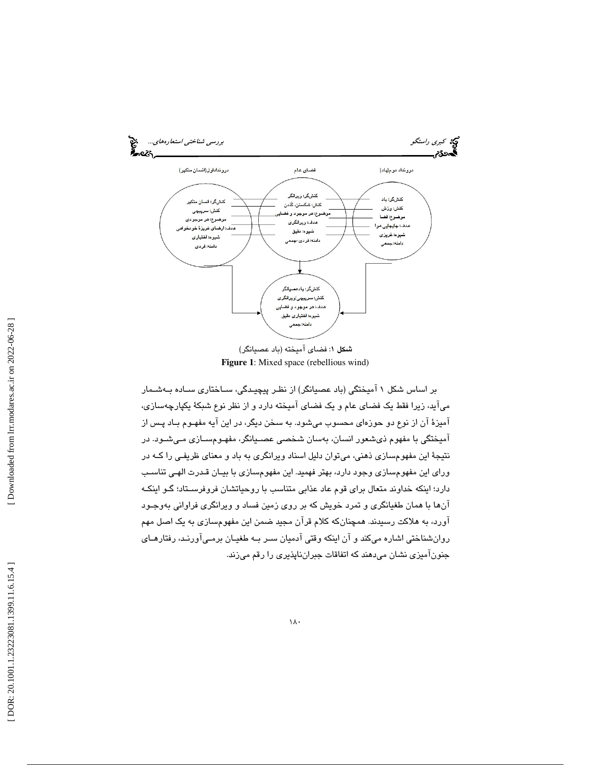

**Figure 1**: Mixed space (rebellious wind)

بر اساس شكل 1 آميختگي (باد عصيانگر) از نظـر پيچيـدگي، سـاختاري سـاده بـه شـمار ميآيد، زيرا فقط يك فضاي عام و يك فضاي آميخته دارد و از نظر نوع شبكة يكپارچهسازي، آميزة آن از نوع دو حوزهاي محسوب ميشود. به سخن ديگر، در اين آيه مفهـوم بـاد پـس از آميختگي با مفهوم ذيشعور انسان، بهسان شخصي عصـيانگر، مفهـوم سـازي مـي شـود. در نتيجة اين مفهومسازي ذهني، ميتوان دليل اسناد ويرانگري به باد و معناي ظريفـي را كـه در وراي اين مفهومسازي وجود دارد، بهتر فهميد. اين مفهومسازي با بيـان قـدرت الهـي تناسـب دارد؛ اينكه خداوند متعال براي قوم عاد عذابي متناسب با روحياتشان فروفرسـتاد؛ گـو اينكـه آنها با همان طغيانگري و تمرد خويش كه بر روي زمين فساد و ويرانگري فراواني بهوجـود آورد، به هلاكت رسيدند. همچنانكه كلام قرآن مجيد ضمن اين مفهومسازي به يك اصل مهم روانشناختي اشاره ميكند و آن اينكه وقتي آدميان سـر بـه طغيـان برمـي آورنـد، رفتارهـاي جنونآميزي نشان ميدهند كه اتفاقات جبرانناپذيري را رقم ميزند.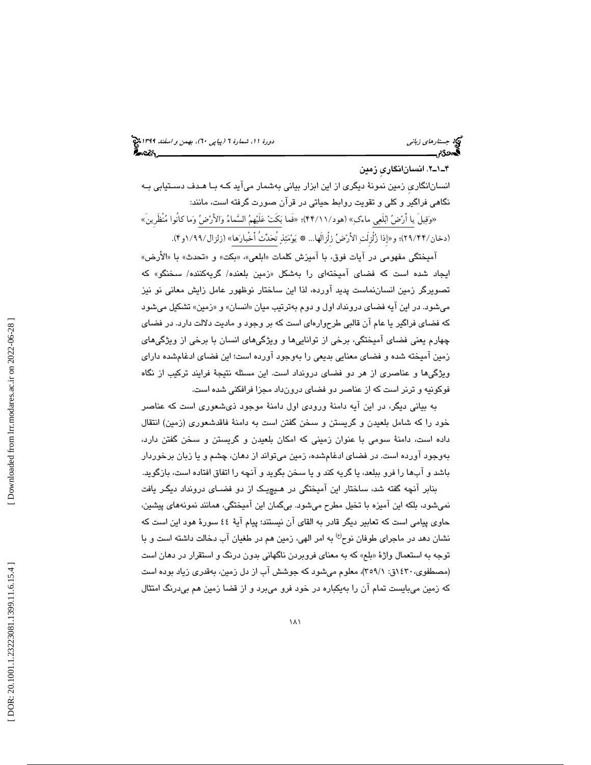## جستار*هاي زباني (بياپي 60)، بهمن و اسفند 1*398 هجرا بياني دورة 11، شمارة 1 (پياپي ٢٠)، بهم*ن و اسفند 1*394 هج

. 2ـ1ـ4 انسانانگاريِ زمين

انسانانگاريِ زمين نمونة ديگري از اين ابزار بياني بهشمار ميآيد كـه بـا هـدف دسـتيابي بـه نگاهي فراگير و كلي و تقويت روابط حياتي در قرآن صورت گرفته است، مانند: «وَقِيلَ يا أَرْضُ ابْلَعِي ماءَكِ» (هود/١١/١٤)؛ «فَما بَكَتْ عَلَيْهِمُ السَّماءُ وَالأَرْضُ وَما كانُوا مُنظَرِينَ»

(دخان/٢٩/٤۴)؛ و«إذا زُلزلتِ الأَرْضُ زِلزالها... ۞ يَوْمَئِذِ تَحَدَّثَ أَخْبَارَهَا» (زلزال/٩٩/١و؟).

اميختگي مفهومي در ايات فوق، با اميزش كلمات «ابلعي»، «بكت» و «تحدث» با «الارض» ايجاد شده است كه فضای اميختهای را بهشكل «زمین بلعنده/ گریهكننده/ سخنگو» كه تصويرگر زمين انساننماست پديد آورده، لذا اين ساختار نوظهور عامل زايش معاني نو نيز میشود. در این ایه فضای درونداد اول و دوم بهترتیب میان «انسان» و «زمین» تشکیل میشود كه فضاي فراگير يا عام آن قالبي طرح وارهاي است كه بر وجود و ماديت دلالت دارد. در فضاي چهارم يعني فضاي آميختگي، برخي از تواناييها و ويژگيهاي انسان با برخي از ويژگيهاي زمين آميخته شده و فضاي معنايي بديعي را بهوجود آورده است؛ اين فضاي ادغامشده داراي ويژگيها و عناصري از هر دو فضاي درونداد است. اين مسئله نتيجة فرايند تركيب از نگاه فوكونيه و ترنر است كه از عناصر دو فضاي درونداد مجزا فرافكني شده است.

به بياني ديگر، در اين آيه دامنة ورودي اول دامنة موجود ذيشعوري است كه عناصر خود را كه شامل بلعيدن و گريستن و سخن گفتن است به دامنة فاقدشعوري (زمين) انتقال داده است، دامنة سومي با عنوان زميني كه امكان بلعيدن و گريستن و سخن گفتن دارد، بهوجود آورده است. در فضاي ادغامشده، زمين ميتواند از دهان، چشم و يا زبان برخوردار باشد و آبها را فرو ببلعد، يا گريه كند و يا سخن بگويد و آنچه را اتفاق افتاده است، بازگويد.

بنابر انچه گفته شد، ساختار این امیختگی در هـیچیـک از دو فضــای درونداد دیگـر یافت نمي شود، بلكه اين اميزه با تخيل مطرح مي شود. بي گمان اين اميختگي، همانند نمونههاي پيشين، حاوي پيامي است كه تعابير ديگر قادر به القاي آن نيستند؛ پيام آية 44 سورة هود اين است كه نشان دهد در ماجراي طوفان نوح<sup>(ع)</sup> به امر الهي، زمين هم در طغيان آب دخالت داشته است و با توجه به استعمال واژهٔ «بلع» که به معنای فروبردن ناگهانی بدون درنگ و استقرار در دهان است (مصطفوي، ١٤٣٠ق: ٣٥٩/١)، معلوم ميشود كه جوشش آب از دل زمين، بهقدري زياد بوده است كه زمين ميبايست تمام آن را بهيكباره در خود فرو ميبرد و از قضا زمين هم بيدرنگ امتثال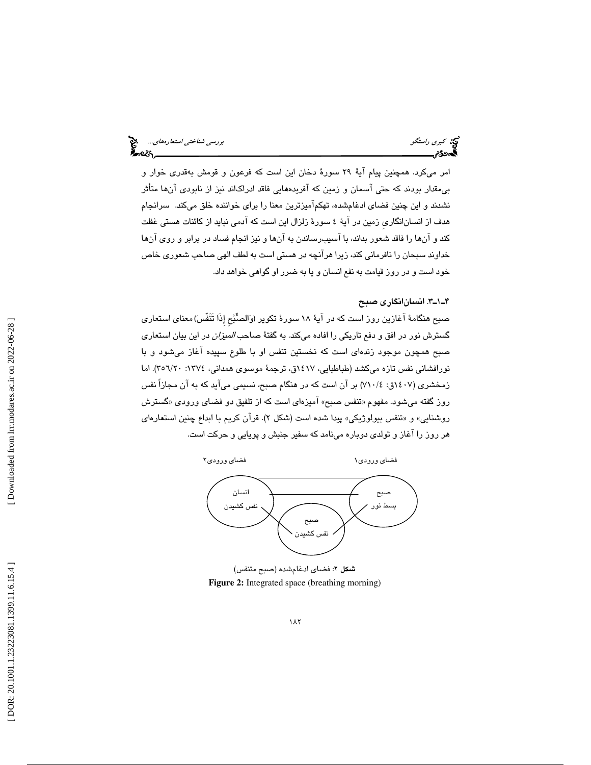امر ميكرد. همچنين پيام آية 29 سورة دخان اين است كه فرعون و قومش بهقدري خوار و بيمقدار بودند كه حتي آسمان و زمين كه آفريدههايي فاقد ادراكاند نيز از نابودي آنها متأثر نشدند و اين چنين فضاي ادغامشده، تهكمآميزترين معنا را براي خواننده خلق ميكند. سرانجام هدف از انسانانگاريِ زمين در آية 4 سورة زلزال اين است كه آدمي نبايد از كائنات هستي غفلت كند و آنها را فاقد شعور بداند، با آسيبرساندن به آنها و نيز انجام فساد در برابر و روي آنها خداوند سبحان را نافرماني كند، زيرا هرآنچه در هستي است به لطف الهي صاحب شعوري خاص خود است و در روز قيامت به نفع انسان و يا به ضرر او گواهي خواهد داد.

### 3ـ1ـ4 . انسانانگاري صبح

صبحِ هنگامهٔ اغازین روز است كه در ایهٔ ۱۸ سورهٔ تكویر (وَالصُبْحِ إِذا تنفَسَ)معنای استعاری گسترش نور در افق و دفع تاريكي را افاده ميكند. به گفتة صاحب الميزان در اين بيان استعاري صبح همچون موجود زندهاي است كه نخستين تنفس او با طلوع سپيده آغاز ميشود و با نورافشاني نفس تازه ميكشد (طباطبايي، 1417ق، ترجمة موسوي همداني، :1374 20/ 356). اما زمخشري ( 1407 4/ق: 710 ) بر آن است كه در هنگام صبح، نسيمي ميآيد كه به آن مجازاً نفس روز گفته ميشود. مفهوم «تنفس صبح» اميزدای است كه از تلفيق دو فضای ورودی «گسترش روشنايي» و «تنفس بيولوژيكي» پيدا شده است (شكل ۲). قران كريم با ابداع چنين استعارها*ی* هر روز را آغاز و تولدي دوباره مينامد كه سفير جنبش و پويايي و حركت است.

فضاي ورودي 2

فضاي ورودي1



: فضاي ادغامشده (صبح متنفس) شكل 2 **Figure 2:** Integrated space (breathing morning)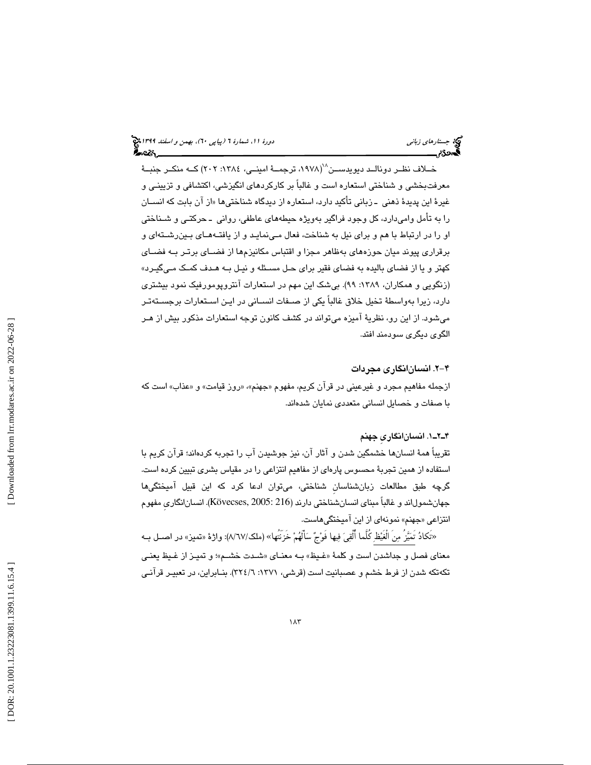خـــلاف نظــر دونالــد ديويدســـن^`(١٩٧٨، ترجمـــة امينـــي، ١٣٨٤: ٢٠٢) كـــه منكــر جنبـــة معرفتبخشي و شناختي استعاره است و غالباً بر كاركردهاي انگيزشي، اكتشافي و تزيينـي و غيرهٔ اين پديدهٔ ذهني ـ زباني تأكيد دارد، استعاره از ديدگاه شناختيها «از آن بابت كه انســان را به تأمل واميدارد، كل وجود فراگير بهويژه حيطههاي عاطفي، رواني ـ حركتـي و شـناختي او را در ارتباط با هم و براي نيل به شناخت، فعال مـي نمايـد و از يافتـه هـاي بـين رشـته اي و برقراري پيوند ميان حوزههاي بهظاهر مجزا و اقتباس مكانيزمها از فضـاي برتـر بـه فضـاي كهتر و يا از فضاي باليده به فضاي فقير براي حـل مسـئله و نيـل بـه هـدف كمـك مـي گيـرد » (زنگويي و همكاران، ۱۳۸۹: ۹۹). بيشک اين مهم در استعارات آنتروپومورفيک نمود بيشتري دارد، زيرا بهواسطة تخيل خلاق غالباً يكي از صـفات انسـاني در ايـن اسـتعارات برجسـته تـر ميشود. از اين رو، نظرية آميزه ميتواند در كشف كانون توجه استعارات مذكور بيش از هـر الگوي ديگري سودمند افتد.

-2 4 . انسانانگاري مجردات

ازجمله مفاهیم مجرد و غیرعینی در قران كریم، مفهوم «جهنم»، «روز قیامت» و «عذاب» است كه با صفات و خصايل انساني متعددي نمايان شدهاند.

### 1ـ2ـ4 . انسانانگاريِ جهنم

تقريباً همة انسانها خشمگين شدن و آثار آن، نيز جوشيدن آب را تجربه كردهاند؛ قرآن كريم با استفاده از همين تجربة محسوس پارهاي از مفاهيم انتزاعي را در مقياس بشري تبيين كرده است. گرچه طبق مطالعات زبانشناسانِ شناختي، ميتوان ادعا كرد كه اين قبيل آميختگيها جهانشمولاند و غالباً مبناي انسانشناختي دارند (216 2005: ,Kövecses(. انسانانگاريِ مفهوم انتزاعی «جهنم» نمونهای از این امیختگیهاست.

«تَكادُ تَمَيَّزُ مِنَ الْغَيْظِ كَلَّما أُلْقِيَ فِيها فَوْجٌ سَأَلَهُمْ خَزَنَتُها» (ملك/٦٧/٧): واژهٔ «تميز» در اصــل بــه معناي فصل و جداشدن است و كلمة «غـيظ» بــه معنــاي «شــدت خشــم»؛ و تميــز از غـيظ يعنــي تكهتكه شدن از فرط خشم و عصبانيت است (قرشي، 1371 :6/ 324). بنـابراين، در تعبيـر قرآنـي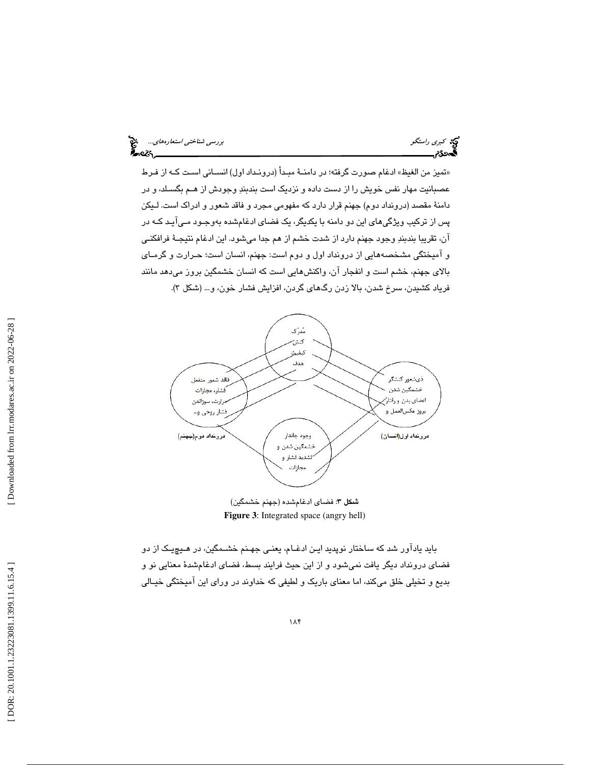كبري راستگو بررسي شناختي استعارههاي...

تميز من الغيظ» ادغام صورت گرفته؛ در دامنـة مبـدأ (درونـداد اول) انسـاني اسـت كـه از فـرط » عصبانيت مهار نفس خويش را از دست داده و نزديك است بندبند وجودش از هـم بگسـلد، و در دامنة مقصد (درونداد دوم) جهنم قرار دارد كه مفهومي مجرد و فاقد شعور و ادراك است. لـيكن پس از تركيب ويژگيهاي اين دو دامنه با يكديگر، يك فضاي ادغامشده بهوجـود مـي آيـد كـه در آن، تقريبا بندبند وجود جهنم دارد از شدت خشم از هم جدا ميشود. اين ادغام نتيجـة فرافكنـي و آميختگي مشخصههايي از درونداد اول و دوم است: جهنم، انسان است؛ حـرارت و گرمـاي بالاي جهنم، خشم است و انفجار آن، واكنشهايي است كه انسان خشمگين بروز ميدهد مانند فرياد كشيدن، سرخ شدن، بالا زدن رگـهـاي گردن، افزايش فشـار خون، و... (شكل ۳).



: فضاي ادغامشده (جهنم خشمگين) شكل 3 **Figure 3**: Integrated space (angry hell)

بايد يادآور شد كه ساختار نوپديد ايـن ادغـام، يعنـي جهـنم خشـمگين، در هـيچ يـك از دو فضاي درونداد ديگر يافت نميشود و از اين حيث فرايند بسط، فضاي ادغامشدة معنايي نو و بديع و تخيلي خلق ميكند، اما معناي باريك و لطيفي كه خداوند در وراي اين آميختگي خيـالي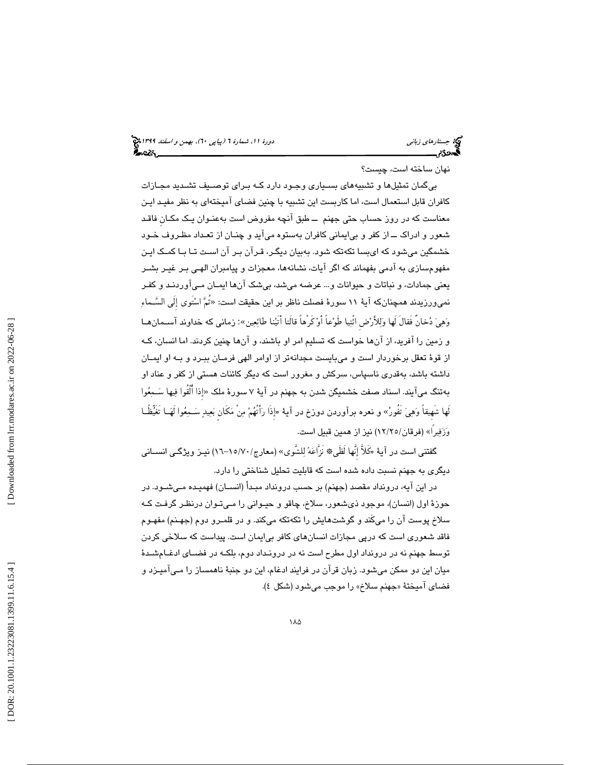### نهان ساخته است، چيست؟

 بيگمان تمثيلها و تشبيههاي بسـياري وجـود دارد كـه بـراي توصـيف تشـديد مجـازات كافران قابل استعمال است، اما كاربست اين تشبيه با چنين فضاي آميختهاي به نظر مفيـد ايـن معناست كه در روز حساب حتي جهنم ــ طبق آنچه مفروض است بهعنـوان يـك مكـانِ فاقـد شعور و ادراك ــ از كفر و بيايماني كافران بهستوه ميآيد و چنـان از تعـداد مظـروف خـود خشمگين ميشود كه ايبسا تكهتكه شود. بهبيان ديگـر، قـرآن بـر آن اسـت تـا بـا كمـك ايـن مفهومسازي به آدمي بفهماند كه اگر آيات، نشانهها، معجزات و پيامبران الهـي بـر غيـر بشـر يعني جمادات، و نباتات و حيوانات و... عرضه ميشد، بيشك آنها ايمـان مـي آوردنـد و كفـر نمىورزيدند همچنانكه آيهٔ ۱۱ سورهٔ فصلت ناظر بر اين حقيقت است: «ثُمَّ اسْتَوى إِلَى السَّـماءِ وهي دخانٌ فَقالَ لَها وللأَرضِ ائْتيا طَوعاً أَو كَرْهاً قالَتا أَتَينا طائعين»: زماني كه خداوند آسـمان هـا و زمين را آفريد، از آنها خواست كه تسليم امر او باشند، و آنها چنين كردند. اما انسان، كـه از قوة تعقل برخوردار است و ميبايست مجدانهتر از اوامر الهي فرمـان ببـرد و بـه او ايمـان داشته باشد، بهقدري ناسپاس، سركش و مغرور است كه ديگر كائنات هستي از كفر و عناد او بهتنگ ميآيند. اسناد صفت خشميگن شدن به جهنم در آيهٔ ۷ سورهٔ ملک «إذا أُلْقُوا فِيها سَـمِعُوا لَها شَهيقاً وَهِيَ تَفُورُ» و نعره برآوردن دوزخ در آية «إذَا رَأَتْهُمْ مِنْ مَكَان بَعِيدٍ سَـمِعُوا لَهَــا تَغَيّظًــا وَزَفِيرًا» (فرقان/١٢/٢٥) نيز از همين قبيل است.

گفتنى است در آيهٔ «كَلاَّ إِنَّها لَظَى» نَزَّاعَهُ لِلشَّوى» (معارج/ ١٥/٧٠-١٦) نيـز ويژگـي انســاني ديگري به جهنم نسبت داده شده است كه قابليت تحليل شناختي را دارد.

در اين آيه، درونداد مقصد (جهنم) بر حسب درونداد مبـدأ (انسـان) فهميـده مـي شـود. در حوزة اول (انسان)، موجود ذيشعور، سلاخ، چاقو و حيـواني را مـي تـوان درنظـر گرفـت كـه سلاخ پوست آن را ميكَند و گوشتهايش را تكهتكه ميكند. و در قلمـرو دوم (جهـنم) مفهـوم فاقد شعوري است كه درپي مجازات انسانهاي كافر بيايمان است. پيداست كه سلاخي كردن توسط جهنم نه در درونداد اول مطرح است نه در درونـداد دوم، بلكـه در فضـاي ادغـام شـدة ميان اين دو ممكن ميشود. زبان قرآن در فرايند ادغام، اين دو جنبة ناهمساز را مـي آميـزد و فضای امیختهٔ «جهنم سلاخ» را موجب میشود (شکل ٤).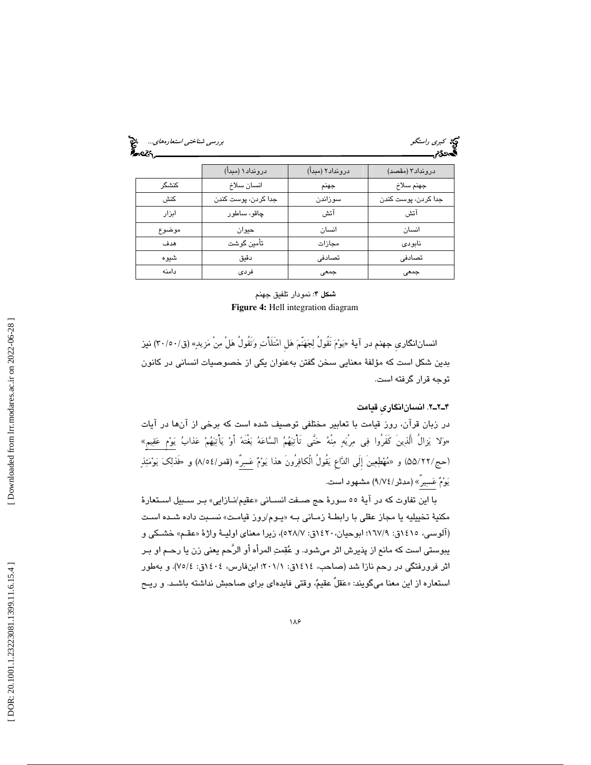كبري راستگو بررسي شناختي استعارههاي...<br>اب**ر**سي شناختي استعارههاي بررسي شناختي است.<br>**اب در رسيد بررسي بررسي بررسي بررسي بررسي بررسي شناختي است.** 

|       | درونداد۱ (مبدأ)     | درونداد۲ (مبدأ) | درونداد٣ (مقصد)     |
|-------|---------------------|-----------------|---------------------|
| كنشگر | انسان سلاخ          | جهنم            | جهنم سلاخ           |
| كنش   | جدا كردن، پوست كندن | سوزاندن         | جدا كردن، پوست كندن |
| ابزار | چاقو، ساطور         | آتش             | آتش                 |
| موضوع | حيوان               | انسان           | انسان               |
| هدف   | تأمين گوشت          | مجازات          | نابودي              |
| شيوه  | دقيق                | تصادفی          | تصادفى              |
| دامنه | فردى                | جمعى            | جمعى                |

### شكل 4: نمودار تلفيق جهنم **Figure 4:** Hell integration diagram

انسانانگاري جهنم در آية<sub>ُ</sub> «يَوْمَ نَقُولُ لِجَهَنّمَ هَل امْتَلَأْتِ وَتَقُولُ هَلْ مِنْ مَزيدٍ» (ق/٥٠/، نيز بدين شكل است كه مؤلفة معنايي سخن گفتن بهعنوان يكي از خصوصيات انساني در كانون توجه قرار گرفته است.

### 2ـ2ـ4 . انسانانگاريِ قيامت

در زبان قرآن، روز قيامت با تعابير مختلفي توصيف شده است كه برخي از آنها در آيات «وَلا يَزالُ الَّذِينَ كَفَرُوا فِى مِرْيَهٍ مِنْهُ حَتَّى تَأْتِيَهُمُ السَّاعَهُ بَغْتَهُ أَوْ يَأْتِيَهُمْ عَذابُ يَوْمٍ عَقِيمٍ» (حج/٢٢/٥۵) و «مُهْطِعِينَ إلَى الدَّاعِ يَقُولُ الْكافِرُونَ هذا يَوْمٌ عَسِرٌ» (قمر/١٥٤) و «فَذلِكَ يَوْمَئِذٍ يَوْمٌ عَسِيرٍ » (مدثر / ٩/٧٤) مشـهود است.

با اين تفاوت كه در ايهٔ ٥٥ سورهٔ حج صـفت انســانی «عقيم/نــازايی» بـر ســبيل اســتعارهٔ مكنيهٔ تخييليه يا مجاز عقلي با رابطـهٔ زمـاني بــه «يـوم/روز قيامـت» نسـبت داده شـده اسـت (الوسي، ١٤١٥ق: ١٦٧/٩؛ ابوحيان، ١٤٢٠ق: ٥٢٨/٧)، زيرا معناي اوليــهٔ واژهٔ «عقـم» خشـكي و يبوستي است كه مانع از پذيرش اثر ميشود. و عقمت المرأه أو الرَّحم يعني زن يا رحـم او بـر اثر فرورفتگي در رحم نازا شد (صاحب، ١٤١٤ق: ٢٠١/١؛ ابنفارس، ١٤٠٤ق: ٧٥/٤). و بهطور استعاره از اين معنا ميگويند: « عقلٌ عقيم، وقتي فايدهاي براي صاحبش نداشته باشـد. و ريـح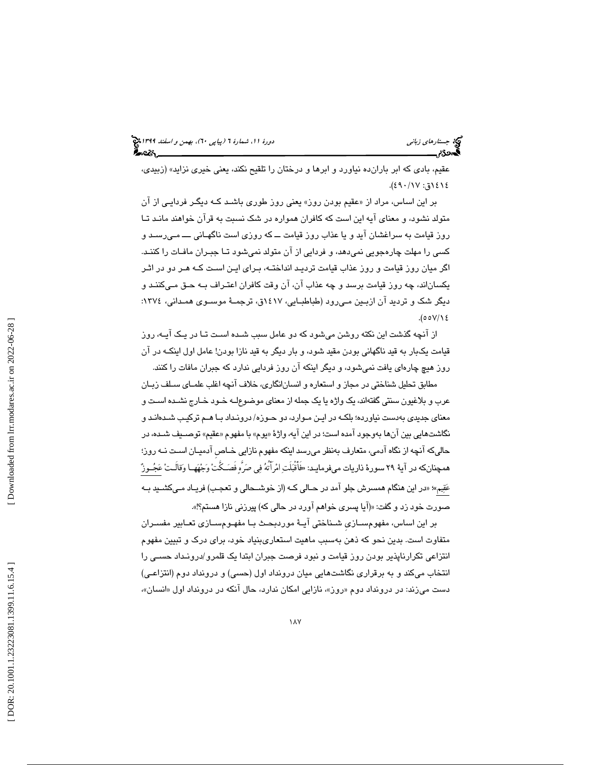عقيم، بادي كه ابر بارانده نياورد و ابرها و درختان را تلقيح نكند، يعني خيري نزايد» (زبيدي، ١٤١٤ق: ١٧/ ٤٩٠).

بر اين اسـاس، مراد از «عقيم بودن روز» يعنى روز طورى باشـد كـه ديگـر فردايـى از ان متولد نشود، و معناى آيه اين است كه كافران همواره در شك نسبت به قرآن خواهند مانـد تـا روز قيامت به سراغشان آيد و يا عذاب روز قيامت ــ كه روزى است ناگهـانى ـــ مـى رسـد و كسى را مهلت چارهجويى نمىدهد، و فردايى از آن متولد نمىشود تـا جبـران مافـات را كننـد. اگر ميان روز قيامت و روز عذاب قيامت ترديـد انداختـه، بـراى ايـن اسـت كـه هـر دو در اثـر يكساناند، چه روز قيامت برسد و چه عذاب آن، آن وقت كافران اعتـراف بـه حـق مـى كننـد و ديگر شک و ترديد آن ازبـين مـىرود (طباطبـايي، ١٤١٧ق، ترجمـهٔ موسـوي همـداني، ١٣٧٤:  $(00V)/8$ 

از آنچه گذشت اين نكته روشن ميشود كه دو عامل سبب شـده اسـت تـا در يـك آيـه، روز قيامت يكبار به قيد ناگهانى بودن مقيد شود، و بار ديگر به قيد نازا بودن! عامل اول اينكـه در آن روز هيچ چارهاى يافت نمىشود، و ديگر اينكه آن روز فردايى ندارد كه جبران مافات را كنند.

مطابق تحليل شناختي در مجاز و استعاره و انسانانگاري، خلاف آنچه اغلب علمـاي سـلف زبـان عرب و بلاغيون سنتي گفتهاند، يك واژه يا يك جمله از معناي موضوعلـه خـود خـارج نشـده اسـت و معناي جديدي بهدست نياورده؛ بلكـه در ايـن مـوارد، دو حـوزه/ درونـداد بـا هـم تركيـب شـده انـد و نگاشتهايي بين انها بهوجود امده است؛ در اين ايه، واژهٔ «يوم» با مفهوم «عقيم» توصــيف شــده، در حاليكه آنچه از نگاهآدمي، متعارف بهنظر ميرسد اينكه مفهوم نازايي خـاصِ آدميـان اسـت نـه روز؛ همچنانكه در آية 29سورة ذاريات ميفرمايـد: «فَأَقْبلَت امرَأَتُه في صرَّه فَصـكَّت وجههـا وقالَـت عجـوز عَقِيم»؛ «در اين هنگام همسرش جلو آمد در حـالى كــه (از خوشــحالى و تعجـب) فريــاد مــىكشــيد بــه صورت خود زد و گفت: «(آيا پسرى خواهم آورد در حالى كه) پيرزنى نازا هستم؟! ».

بر اين اساس، مفهومسـازيِ شـناختي آيـة موردبحـث بـا مفهـوم سـازي تعـابير مفسـران متفاوت است. بدين نحو كه ذهن بهسبب ماهيت استعاريبنياد خود، براي درك و تبيين مفهوم انتزاعي تكرارناپذير بودن روز قيامت و نبود فرصت جبران ابتدا يك قلمرو/درونـداد حسـي را انتخاب ميكند و به برقراري نگاشتهايي ميان درونداد اول (حسي) و درونداد دوم (انتزاعـي) دست میزند: در درونداد دوم «روز»، نازایی امکان ندارد، حال انکه در درونداد اول «انسان»،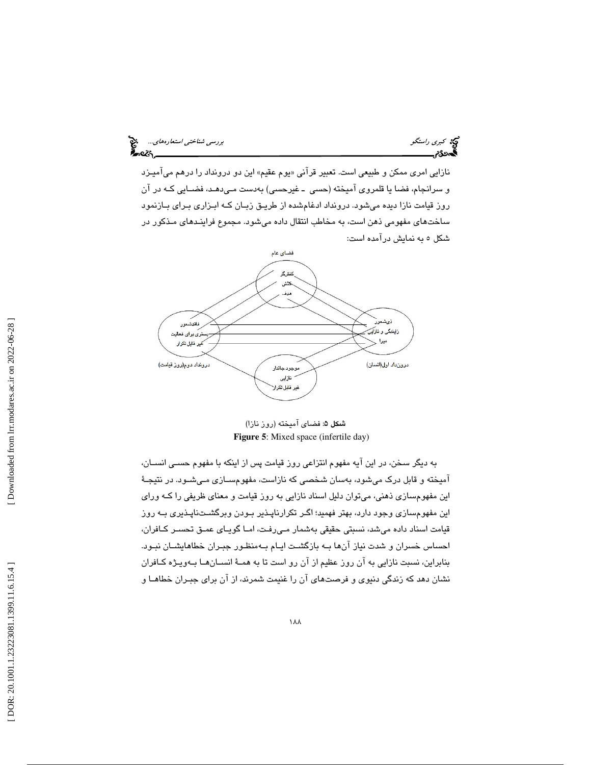نازايي امري ممكن و طبيعي است. تعبير قرآني «يوم عقيم» اين دو درونداد را درهم ميآميـزد و سرانجام، فضا يا قلمروي آميخته (حسي ـ غيرحسي) به دست مـي دهـد، فضـا يي كـه در آن روز قيامت نازا ديده ميشود. درونداد ادغامشده از طريـق زبـان كـه ابـزاري بـراي بـازنمود ساختهاي مفهومي ذهن است، به مخاطب انتقال داده ميشود. مجموع فراينـدهاي مـذكور در شكل 5 به نمايش درآمده است:



شكل 5: فضاي آميخته (روز نازا) **Figure 5**: Mixed space (infertile day)

به ديگر سخن، در اين آيه مفهوم انتزاعي روز قيامت پس از اينكه با مفهوم حسـي انسـان، آميخته و قابل درك ميشود، بهسان شخصي كه نازاست، مفهومسـازي مـي شـود. در نتيجـة اين مفهومسازي ذهني، ميتوان دليل اسناد نازايي به روز قيامت و معناي ظريفي را كـه وراي اين مفهومسازي وجود دارد، بهتر فهميد؛ اگـر تكرارناپـذير بـودن وبرگشـت ناپـذيري بـه روز قيامت اسناد داده ميشد، نسبتي حقيقي بهشمار مـي رفـت، امـا گويـاي عمـق تحسـر كـافران، احساس خسران و شدت نياز آنها بـه بازگشـت ايـام بـه منظـور جبـران خطاهايشـان نبـود. بنابراين، نسبت نازايي به آن روز عظيم از آن رو است تا به همـة انسـان هـا بـه ويـژه كـافران نشان دهد كه زندگي دنيوي و فرصتهاي آن را غنيمت شمرند، از آن براي جبـران خطاهـا و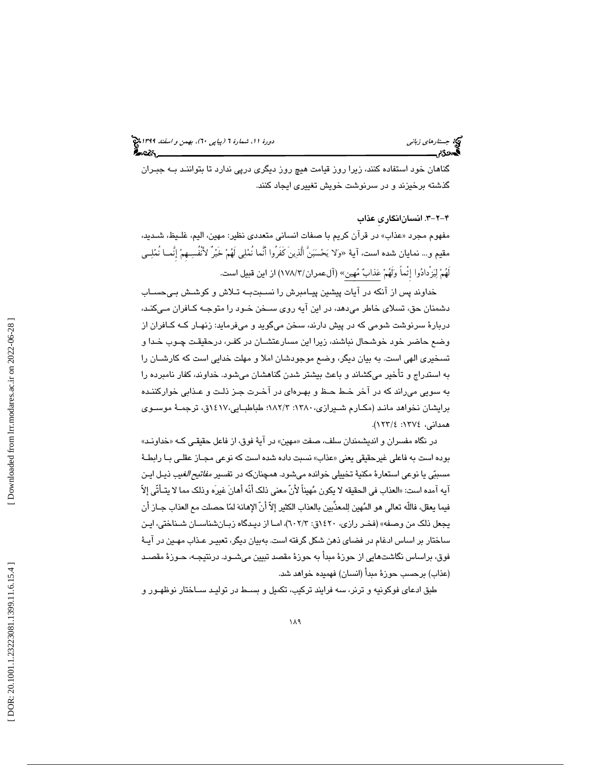گناهان خود استفاده كنند، زيرا روز قيامت هيچ روز ديگري درپي ندارد تا بتواننـد بـه جبـران گذشته برخيزند و در سرنوشت خويش تغييري ايجاد كنند.

4-2-3 . انسانانگاريِ عذاب

مفهوم مجرد «عذاب» در قران كريم با صفات انساني متعددي نظير: مهين، اليم، غلـيظ، شـديد، مقيم و… نمايان شده است، آية «وَلا يَحْسَبَنَّ الّذِينَ كَفَرُوا آنَما نُمْلِي لَهُمْ خَيْرُ لأَنْفُسِـهِمْ إِنْمــا نُمْلِــي لَهُمْ لِيَزْدادُوا إِثْماً وَلَهُمْ عَذابٌ مُهين» (آلعمران/١٧٨/٣) از اين قبيل است.

خداوند پس از آنكه در آيات پيشين پيـامبرش را نسـبت بـه تـلاش و كوشـش بـى حسـاب دشمنان حق، تسلاي خاطر ميدهد، در اين آيه روى سـخن خـود را متوجـه كـافران مـي كنـد، دربارة سرنوشت شومى كه در پيش دارند، سخن ميگويد و ميفرمايد: زنهـار كـه كـافران از ضع حاضر خود خوشحال نباشند، زيرا اين مسارعتشـان در كفـر، درحقيقـت چـوب خـدا و و تسخيرى الهى است. به بيان ديگر، وضع موجودشان املا و مهلت خدايى است كه كارشـان را به استدراج و تأخير مىكشاند و باعث بيشتر شدن گناهشان مىشود. خداوند، كفار نامبرده را به سويى مىراند كه در آخر خـط حـظ و بهـره اى در آخـرت جـز ذلـت و عـذابي خوار كننـده برايشان نخواهد مانـد (مكـارم شـيرازي، 1380 :3/ 182؛ طباطبـايي، 1417 ق، ترجمـة موسـوي همداني، 1374 :4/ 123 ).

در نگاه مفسران و اندیشمندان سلف، صفت «مهین» در ایهٔ فوق، از فاعل حقیقـی کـه «خداونـد» بوده است به فاعلى غيرحقيقى يعنى «عذاب» نسبت داده شده است كه نوعي مجــاز عقلــى بــا رابطــهٔ مسببّي يا نوعي استعارة مكنية تخييلي خوانده مي شود. همچنانكه در تفسير *مفاتيح الغيب* ذيـل ايـن ايه امده است: «العذاب في الحقيقه لا يكون مُهيناً لأنّ معنى ذلك انّه أهان غيره وذلك مما لا يتّـأتّى إلاّ فيما يعقل، فاللّه تعالى هو المهين للمعذِّبين بالعذاب الكثير إلاّ أنّ الإهانه لما حصلت مع العذاب جـاز أن يجعل ذلك من وصفه» (فخـر رازي، 1420 3/ق: 602)، امـا از ديـدگاه زبـان شناسـان شـناختي، ايـن ساختار بر اساس ادغام در فضاي ذهن شكل گرفته است. بهبيان ديگر، تعبيـر عـذاب مهـين در آيـة فوق، براساس نگاشتهايي از حوزة مبدأ به حوزة مقصد تبيين ميشـود. درنتيجـه، حـوزة مقصـد (عذاب) برحسب حوزة مبدأ (انسان) فهميده خواهد شد.

طبق ادعاي فوكونيه و ترنر، سه فرايند تركيب، تكميل و بسـط در توليـد سـاختار نوظهـور و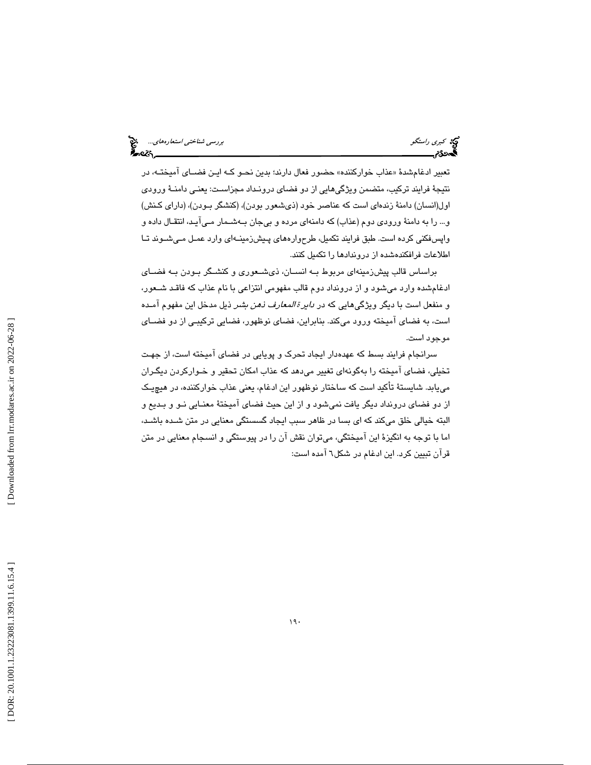تعبير ادغام شدهٔ «عذاب خواركننده» حضور فعال دارند؛ بدين نحـو كـه ايـن فضــاى اميختــه، در نتيجة فرايند تركيب، متضمن ويژگيهايي از دو فضاي درونـداد مجزاسـت: يعنـي دامنـة ورودي اول(انسان) دامنة زندهاي است كه عناصر خود (ذيشعور بودن)، (كنشگر بـودن)، (داراي كـنش) و... را به دامنهٔ ورودي دوم (عذاب) كه دامنهاي مرده و بيجان بـهشـمار مـيآيـد، انتقـال داده و واپسفكني كرده است. طبق فرايند تكميل، طرح وارههاي پـيش زمينـه اي وارد عمـل مـي شـوند تـا اطلاعات فرافكندهشده از دروندادها را تكميل كنند.

براساس قالب پيشزمينهاي مربوط بـه انسـان، ذي شـعوري و كنشـگر بـودن بـه فضـاي ادغامشده وارد ميشود و از درونداد دوم قالب مفهومي انتزاعي با نام عذاب كه فاقـد شـعور، و منفعل است با ديگر ويژگىهايى كه در *داير ة المعارف ذهن بشر* ذيل مدخل اين مفهوم امـده است، به فضاي آميخته ورود ميكند. بنابراين، فضاي نوظهور، فضايي تركيبـي از دو فضـاي موجود است.

سرانجام فرايند بسط كه عهدهدار ايجاد تحرك و پويايي در فضاي آميخته است، از جهـت تخيلي، فضاي آميخته را بهگونهاي تغيير ميدهد كه عذاب امكان تحقير و خـواركردن ديگـران مييابد. شايستة تأكيد است كه ساختار نوظهور اين ادغام، يعني عذاب خواركننده، در هيچيـك از دو فضاي درونداد ديگر يافت نميشود و از اين حيث فضاي آميختة معنـايي نـو و بـديع و البته خيالي خلق ميكند كه اي بسا در ظاهر سبب ايجاد گسستگي معنايي در متن شـده باشـد، اما با توجه به انگيزة اين آميختگي، ميتوان نقش آن را در پيوستگي و انسجام معنايي در متن قرآن تبيين كرد. اين ادغام در شكل 6 آمده است: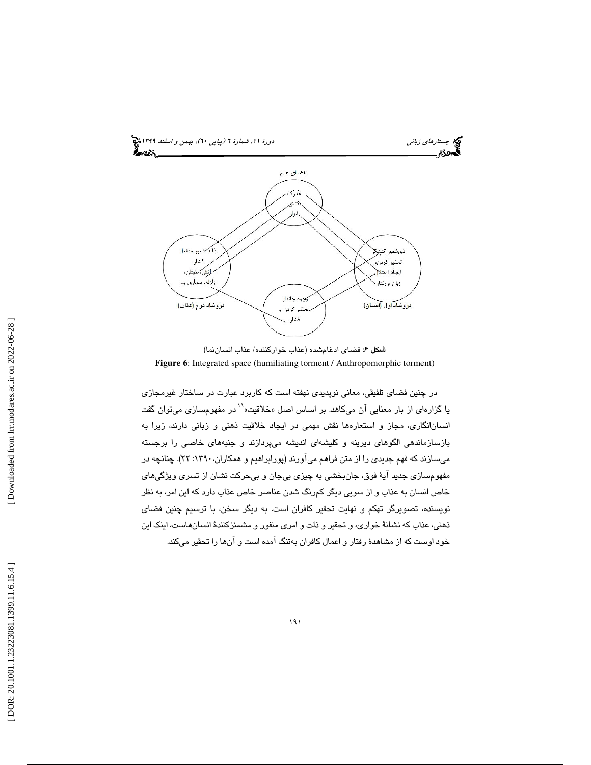

شكل 6: فضاي ادغامشده (عذاب خواركننده/ عذاب انساننما) **Figure 6**: Integrated space (humiliating torment / Anthropomorphic torment)

در چنین فضای تلفیقی، معانی نوپدیدی نهفته است که کاربرد عبارت در ساختار غیرمجازی<br>یا گزارهای از بار معنایی آن میکاهد. بر اساس اصل «خلاقیت»<sup>۱۹</sup> در مفهومسازی میتوان گفت انسانانگاري، مجاز و استعارهها نقش مهمي در ايجاد خلاقيت ذهني و زباني دارند، زيرا به بازسازماندهي الگوهاي ديرينه و كليشهاي انديشه ميپردازند و جنبههاي خاصي را برجسته ميسازند كه فهم جديدي را از متن فراهم ميآورند (پورابراهيم و همكاران:1390، 22). چنانچه در مفهومسازي جديد آية فوق، جانبخشي به چيزي بيجان و بيحركت نشان از تسري ويژگيهاي خاص انسان به عذاب و از سويي ديگر كمرنگ شدن عناصر خاص عذاب دارد كه اين امر، به نظر نويسنده، تصويرگر تهكم و نهايت تحقير كافران است. به ديگر سخن، با ترسيم چنين فضاي ذهني، عذاب كه نشانة خواري، و تحقير و ذلت و امري منفور و مشمئزكنندة انسانهاست، اينك اين خود اوست كه از مشاهدة رفتار و اعمال كافران بهتنگ آمده است و آنها را تحقير ميكند.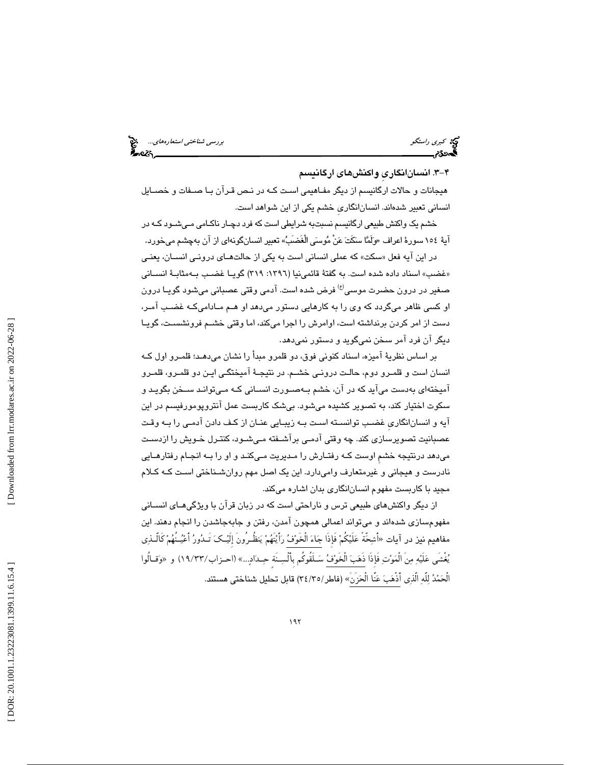كبري راستگو بررسي شناختي استعارههاي...

-3 4 . انسانانگاريِ واكنشهاي ارگانيسم

هيجانات و حالات ارگانيسم از ديگر مفـاهيمي اسـت كـه در نـص قـرآن بـا صـفات و خصـايل انساني تعبير شدهاند. انسانانگار يِ خشم يكي از اين شواهد است.

خشم كي واكنش طبيعي ارگانيسم نسبتبه شرايطي است كه فرد دچـار ناكـامي مـي شـود كـه در آيهٔ ١٥٤ سورهٔ اعراف «وَلَمَّا سَكَتَ عَنْ مُوسَى الْغَضَبُّ» تعبير انسانگونهاي از آن بهچشم ميخورد.

در اين ايه فعل «سكت» كه عملى انسانى است به يكى از حالتهـاى درونـى انســان، يعنـى «غضب» اسناد داده شده است. به گفتهٔ قائمینیا (۱۳۹٦: ۳۱۹) گویــا غضـب بــهمثابــهٔ انســانی صغير در درون حضرت موسى<sup>(ع)</sup> فرض شده است. آدمی وقتی عصبانی میشود گويـا درون او كسى ظاهر مىگردد كه وى را به كارهايى دستور مىدهد او هـم مـادامىكـه غضـب آمـر، دست از امر كردن برنداشته است، اوامرش را اجرا مىكند، اما وقتى خشـم فرونشسـت، گويـا ديگر آن فرد آمر سخن نميگويد و دستور نميدهد.

بر اساس نظريةَ آميزه، اسناد كنوني فوق، دو قلمرو مبدأ را نشان مي دهـد؛ قلمـرو اول كـه انسان است و قلمـرو دوم، حالـت درونـی خشـم. در نتيجـهٔ آميختگـی ايـن دو قلمـرو، قلمـرو آميختهاي به دست ميآيد كه در آن، خشم بـهصـورت انسـاني كـه مـيتوانـد سـخن بگويـد و سكوت اختيار كند، به تصوير كشيده مىشود. بىشک كاربست عمل آنتروپومورفيسم در اين آيه و انسانانگاري غضـب توانسـته اسـت بـه زيبـايي عنـان از كـف دادن آدمـي را بـه وقـت عصبانيت تصويرسازى كند. چه وقتى ادمـى براشـفته مـىشـود، كنتـرل خـويش را ازدسـت میدهد درنتیجه خشمِ اوست كـه رفتـارش را مـدیریت مـیكنـد و او را بـه انجـام رفتارهـایی نادرست و هيجاني و غيرمتعارف واميدارد. اين يک اصل مهم روان شـناختي اسـت كـه كـلام مجيد با كاربست مفهوم انسانانگاري بدان اشاره مي كند.

از ديگر واكنشهاي طبيعي ترس و ناراحتي است كه در زبان قرآن با ويژگيهـاي انسـاني مفهومسازي شدهاند و ميتواند اعمالي همچون آمدن، رفتن و جابهجاشدن را انجام دهند. اين مفاهيم نيز در آيات «أَشِحَةُ عَلَيْكُمْ فَإِذَا جَاءَ الْخَوْفُ رَأَيْتُهُمْ يَنظُـرُونَ إِلَيْـكَ تَـدُورُ أَعْيُـنْهُمْ كَالْـذِي يُغشى عَلَيْهِ مِن الْمَوْتِ فَإِذَا ذَهَبَ الْخَوْفُ سَـلْقُوكُم بِأَلْسِـنَةٌ حِـدَادِيـ..» (احـزاب/١٩/٣٣) و «وَقــالوا الْحَمْدُ لِلْهِ الذِي أَذْهَبَ عَنَا الْحَزْنِ» (فاطر/٣٤/٣٥) قابل تحليل شناختي هستند.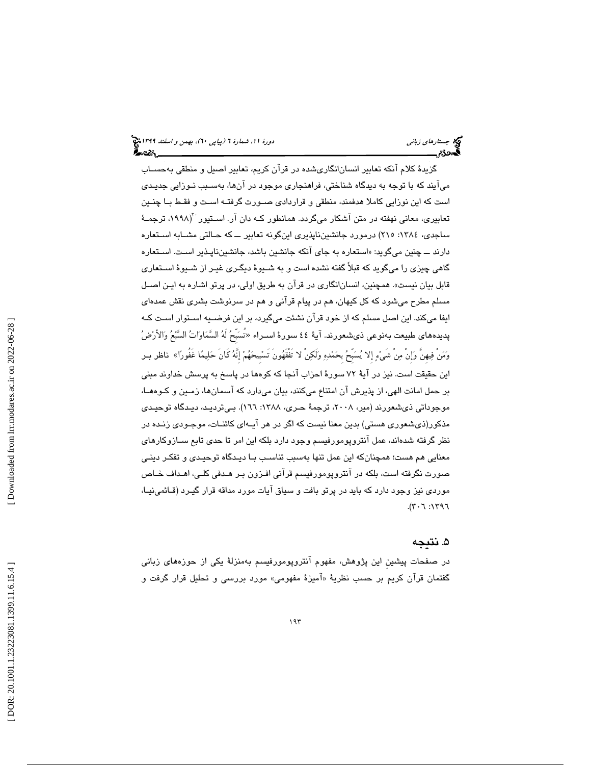گزيدة كلام آنكه تعابير انسانانگاريشده در قرآن كريم، تعابير اصيل و منطقي بهحسـاب ميآيند كه با توجه به ديدگاه شناختي، فراهنجاري موجود در آنها، بهسـبب نـوزايي جديـدي است كه اين نوزايي كاملا هدفمند، منطقي و قراردادي صـورت گرفتـه اسـت و فقـط بـا چنـين تعابيري، معاني نهفته در متن آشكار ميگردد. همانطور كـه دان آر. اسـتيور ``(۱۹۹۸، ترجمـهٔ ساجدي، ١٣٨٤: ٢١٥) درمورد جانشينناپذيري اينگونه تعابير ــ كه حـالتي مشـابه اسـتعاره دارند ـــ چنين میگويد: «استعاره به جای انکه جانشين باشد، جانشينناپـذير اسـت. اسـتعاره گاهي چيزي را ميگويد كه قبلاً گفته نشده است و به شـيوة ديگـري غيـر از شـيوة اسـتعاري قابل بيان نيست». همچنين، انسان(نگاري در قرآن به طريق اولي، در پرتو اشاره به ايـن اصـل مسلم مطرح ميشود كه كل كيهان، هم در پيام قرآني و هم در سرنوشت بشري نقش عمدهاي ايفا ميكند. اين اصل مسلم كه از خود قرآن نشئت ميگيرد، بر اين فرضـيه اسـتوار اسـت كـه پديدههاي طبيعت بهنوعي ذي شعورند. آيهٔ ٤٤ سورهٔ اسـراء «تسَبحُ لهُ السَّمَاوَاتُ السَّبْعُ وَالأَرْضُ وَمَنْ فِيهِنَّ وَإِنْ مِنْ شَيْءٍ إِلا يُسَبِّحُ بِحَمْدِهِ وَلَكِنْ لا تَفْقَهُونَ تَسْبِيحَهُمْ إِنَّهُ كَانَ حَلِيمًا غَفُورًا» ناظر بـر اين حقيقت است . نيز در آية 72 سورة احزاب آنجا كه كوهها در پاسخ به پرسش خداوند مبني بر حمل امانت الهي، از پذيرش آن امتناع ميكنند، بيان ميدارد كه آسمانها، زمـين و كـوه هـا، موجوداتي ذي شعورند (مير، ۲۰۰۸، ترجمهٔ حـري، ۱۳۸۸: ۱7٦). بـي ترديـد، ديـدگاه توحيـدي مذكور(ذيشعوري هستي) بدين معنا نيست كه اگر در هر آيـه اي كائنـات، موجـودي زنـده در نظر گرفته شدهاند، عمل آنتروپومورفيسم وجود دارد بلكه اين امر تا حدي تابع ســازوكارهاي معنايي هم هست؛ همچنانكه اين عمل تنها بهسبب تناسـب بـا ديـدگاه توحيـدي و تفكـر دينـي صورت نگرفته است، بلكه در آنتروپومورفيسم قرآني افـزون بـر هـدفي كلـي، اهـداف خـاص موردي نيز وجود دارد كه بايد در پرتو بافت و سياق آيات مورد مداقه قرار گيـرد (قـائمي نيـا،  $T P$ .  $T P$ .  $T P$ .  $T P$ .

### ۵. نتيجه

در صفحات پيشينِ اين پژوهش، مفهوم آنتروپومورفيسم بهمنزلة يكي از حوزههاي زباني گفتمان قران كريم بر حسب نظريهٔ «اميزهٔ مفهومی» مورد بررسی و تحليل قرار گرفت و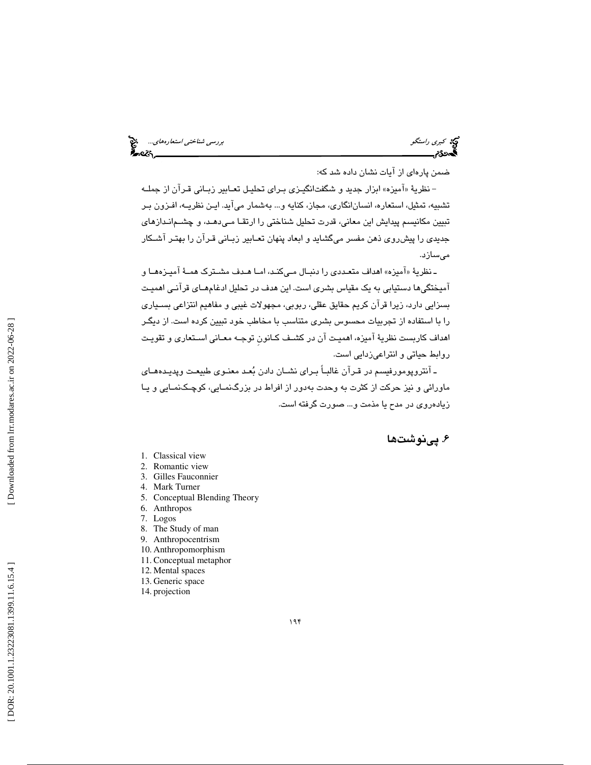كبري راستگو بررسي شناختي استعارههاي...

ضمن پارهای از آیات نشان داده شد كه:

– نظريهٔ «اميزه» ابزار جديد و شگفتانگيـزي بـراي تحليـل تعــابير زبــاني قـران از جملــه تشبيه، تمثيل، استعاره، انسانانگاري، مجاز، كنايه و... بهشمار ميآيد. ايـن نظريـه، افـزون بـر تبيين مكانيسم پيدايش اين معاني، قدرت تحليل شناختي را ارتقـا مـي دهـد، و چشـم انـدازهاي جديدي را پيشروي ذهن مفسر ميگشايد و ابعاد پنهان تعـابير زبـاني قـرآن را بهتـر آشـكار ميسازد.

ـ نظرية «اميزه» اهداف متعـددي را دنبـال مـيكنـد، امـا هـدف مشــترك همــة اميــزههــا و آميختگيها دستيابي به يك مقياس بشري است. اين هدف در تحليل ادغامهـاي قرآنـي اهميـت بسزايي دارد، زيرا قرآن كريم حقايق عقلي، ربوبي، مجهولات غيبي و مفاهيم انتزاعي بسـياري را با استفاده از تجربيات محسوس بشري متناسب با مخاطب خود تبيين كرده است. از ديگـر اهداف كاربست نظرية آميزه، اهميـت آن در كشـف كـانونِ توجـه معـاني اسـتعاري و تقويـت روابط حياتي و انتراعيزدايي است.

ـ آنتروپومورفيسم در قـرآن غالبـاً بـراي نشـان دادن بعـد معنـوي طبيعـت وپديـده هـاي ماورائي و نيز حركت از كثرت به وحدت بهدور از افراط در بزرگنمـايي، كوچـك نمـايي و يـا زيادهروي در مدح يا مذمت و... صورت گرفته است.

### . پينوشت ها 6

- 1. Classical view
- 2. Romantic view
- 3. Gilles Fauconnier
- 4. Mark Turner
- 5. Conceptual Blending Theory
- 6. Anthropos
- 7. Logos
- 8. The Study of man
- 9. Anthropocentrism
- 10. Anthropomorphism 11. Conceptual metaphor
- 12. Mental spaces
- 13. Generic space
- 14. projection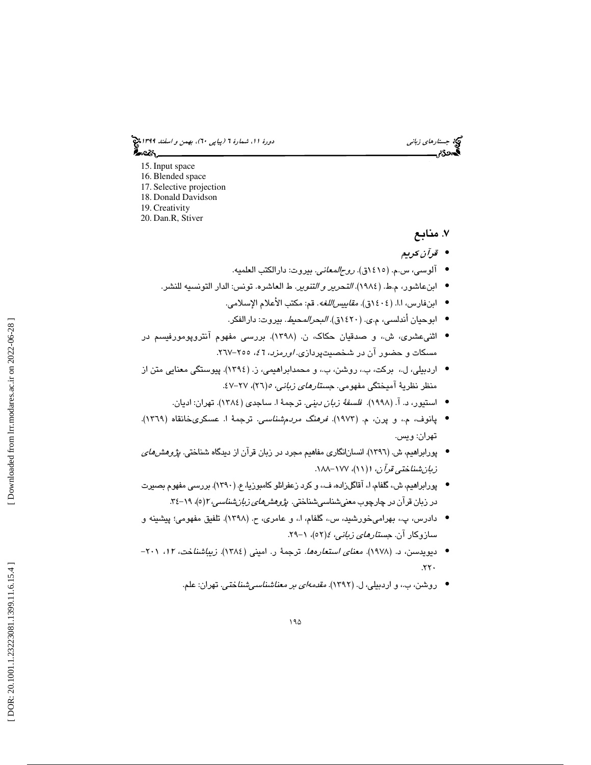جستار*هاي زباني (بياپي 60)، بهمن و اسفند 1*994 هج ಹಿಂಜ

- 15. Input space
- 16. Blended space
- 17. Selective projection
- 18. Donald Davidson
- 19. Creativity
- 20. Dan.R, Stiver

### ۷. منابع

- قرآن كريم •
- آلوسي، س.م. (1415ق). روحالمعاني. بيروت: دارالكتب العلميه. •
- ابنعاشور، م.ط. (١٩٨٤). *التحرير و التنوير*. ط العاشره. تونس: الدار التونسيه للنشر.
	- ابنفارس، ا.ا. (١٤٠٤ق). *مقاييس اللغه*. قم: مكتب الأعلام الإسلامي.
	- ابوحيان أندلسي، م.ي. (١٤٢٠ق). *البحر المحيط*. بيروت: دارالفكر.
- اثنيعشري، ش،. و صدقيان حكاك، ن. (1398). بررسي مفهوم آنتروپومورفيسم در مسکات و حضور ان در شخصیتپردازی*. اورمزد*، 7 <sup>ع</sup>، ٢٥٥–٢٦٧.
- اردبیلی، ل.، برکت، ب.، روشن، ب.، و محمدابراهیمی، ز. (١٣٩٤). پیوستگی معنایی متن از منظر نظریهٔ امیختگی مفهومی. ج*ستارهای زبانی، ه(*۲۲)، ۲۷–۶۷.
	- استيور، د. آ. (١٩٩٨)*. فلسفةً زبان ديني*. ترجمةً ا. ساجدي (١٣٨٤). تهران: اديان.
- پانوف، م،. و پرن، م. (1973). فرهنگ مردمشناسي. ترجمة ا. عسكريخانقاه (1369). تهران: ويس.
- پورابراهيم، ش. (١٣٩٦). انسانانگاري مفاهيم مجرد در زبان قرآن از ديدگاه شناختي. *پژوهشهاي* ز*بان شناختی قرآن، ۱(۱۱)، ۱۷۷–۱۸۸.*
- پورابراهيم، ش،. گلفام، ا،. آقاگلزاده، ف،. و كرد زعفرانلو كامبوزيا، ع. (1390). بررسي مفهوم بصيرت در زبان قرآن در چارچوب معني شناسي شناختي. *پژوهش <i>هاي زبان شناسي*، ۱</mark>۲( ه)، ۱۹–۳٤.
- دادرس، پ.، بهرامۍخورشيد، س.، گلفام، ا.، و عامرۍ، ح. (١٣٩٨). تلفيق مفهومئ؛ پيشينه و سازوکار ان. *جستار<i>های زبانی، ٤(*٥٢)، ١-٢٩.
- دیویدسن، د. (۱۹۷۸). *معنای استعارهها.* ترجمهٔ ر. امینی (١٣٨٤). *زیباشنا*خت، *۱۲،* ۲۰۱−  $.77.$ 
	- روشن، ب،. و اردبيلي، ل. (1392). مقدمهاي بر معناشناسيشناختي. تهران: علم. •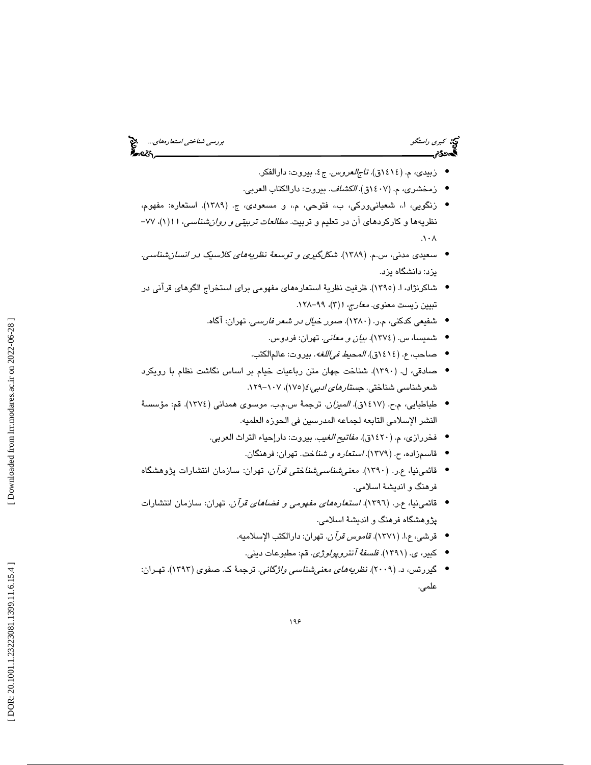كبري راستگو بررسي شناختي استعارههاي...

- زبيدي، م. (١٤١٤ق). *تاجالعروس.* ج٤. بيروت: دارالفكر.
- زمخشري، م. (1407ق). الكشاف. بيروت: دارالكتاب العربي. •
- زنگويي، ا،. شعبانيوركي، ب،. فتوحي، م،. و مسعودي، ج. (1389). استعاره: مفهوم، نظريهها و كاركردهاي آن در تعليم و تربيت. *مطالعات تربيتي و روان شناسي، ۱۱(* ۱)، ۷۷- $. \mathcal{N} \cdot \mathcal{N}$
- سعيدي مدني، س.م. (1389). شكلگيري و توسعة نظريههاي كلاسيك در انسانشناسي. يزد: دانشگاه يزد.
- شاكرنژاد، ا. (١٣٩٥). ظرفيت نظريهٔ استعارههاي مفهومي براي استخراج الگوهاي قرآني در تبیین زیست معنوی. *معارج*، ۱(۳)، ۹۹–۱۲۸.
	- شفيعي كدكني، م.ر. (1380). صور خيال در شعر فارسي. تهران: آگاه.
		- شميسا، س. (1374). بيان و معاني. تهران: فردوس. •
		- صاحب، ع. (1414ق). المحيط فياللغه. بيروت: عالمالكتب. •
- صادقي، ل. (1390). شناخت جهان متن رباعيات خيام بر اساس نگاشت نظام با رويكرد شعرشناسي شناختي. ج*ستارهاي ادبي،٤(*١٧٥)، ١٠٧–١٢٩.
- طباطبايي، م.ح. (1417ق). الميزان. ترجمة س.م.ب. موسوي همداني (1374). قم: مؤسسة النشر الإسلامي التابعه لجماعه المدرسين في الحوزه العلميه.
	- فخررازي، م. (1420ق). مفاتيح الغيب. بيروت: دارإحياء التراث العربي.
		- قاسمزاده، ح. (1379). استعاره و شناخت. تهران: فرهنگان. •
- قائمينيا، ع.ر. (1390). معنيشناسيشناختي قرآن، تهران: سازمان انتشارات پژوهشگاه فرهنگ و انديشة اسلامي.
- قائمينيا، ع.ر. (1396). استعارههاي مفهومي و فضاهاي قرآن. تهران: سازمان انتشارات پژوهشگاه فرهنگ و انديشة اسلامي.
	- قرشي، ع.ا. (1371). قاموس قرآن. تهران: دارالكتب الإسلاميه. •
	- كبير، ي. (1391). فلسفة آنتروپولوژي. قم: مطبوعات ديني. •
- گيررتس، د. (2009). نظريههاي معنيشناسي واژگاني. ترجمة ك. صفوي (1393). تهـران: علمي.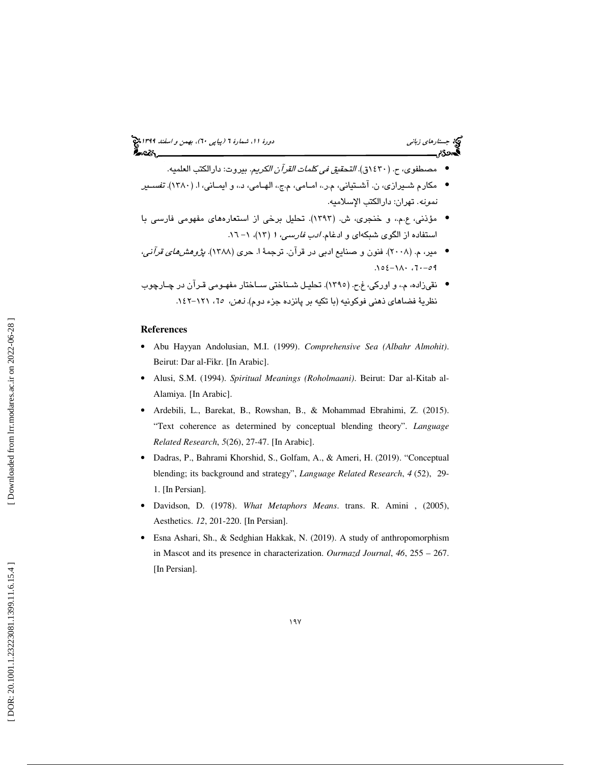## جستار*هاي زباني (بياپي 60)، بهمن و اسفند 1*994 هج

- مصطفوي، ح. (1430ق). التحقيق في كلمات القرآن الكريم. بيروت: دارالكتب العلميه. •
- مكارم شـيرازي، ن. آشـتياني، م.ر،. امـامي، م.ج،. الهـامي، د،. و ايمـاني، ا. ( 1380). تفسـير نمونه. تهران: دارالكتب الإسلاميه.
- مؤذني، ع.م،. و خنجري، ش. (1393). تحليل برخي از استعارههاي مفهومي فارسي با استفاده از الگوی شبکهای و ادغام. *ادب فارسی، ۱ (*۱۳)، ۱– ۱.۲.
- مير، م. (2008). فنون و صنايع ادبي در قرآن. ترجمة ا. حري (1388). پژوهشهاي قرآني ،  $.102 -11.7 -301$
- ينق زاده، م،. و اوركي، غ.ح. (1395). تحليـل شـناختي سـاختار مفهـومي قـرآن در چـارچوب نظريهٔ فضاهای ذهنی فوکونيه (با تکيه بر پانزده جزء دوم). *نهن، ٦٥*، ١٢١–١٤٢.

### **References**

- Abu Hayyan Andolusian, M.I. (1999). *Comprehensive Sea (Albahr Almohit)*. Beirut: Dar al-Fikr. [In Arabic].
- Alusi, S.M. (1994). *Spiritual Meanings (Roholmaani)*. Beirut: Dar al-Kitab al-Alamiya. [In Arabic].
- Ardebili, L., Barekat, B., Rowshan, B., & Mohammad Ebrahimi, Z. (2015). "Text coherence as determined by conceptual blending theory". *Language Related Research*, *5*(26), 27-47. [In Arabic].
- Dadras, P., Bahrami Khorshid, S., Golfam, A., & Ameri, H. (2019). "Conceptual blending; its background and strategy", *Language Related Research*, *4* (52), 29- 1. [In Persian].
- Davidson, D. (1978). *What Metaphors Means*. trans. R. Amini , (2005), Aesthetics. *12*, 201-220. [In Persian].
- Esna Ashari, Sh., & Sedghian Hakkak, N. (2019). A study of anthropomorphism in Mascot and its presence in characterization. *Ourmazd Journal*, *46*, 255 – 267. [In Persian].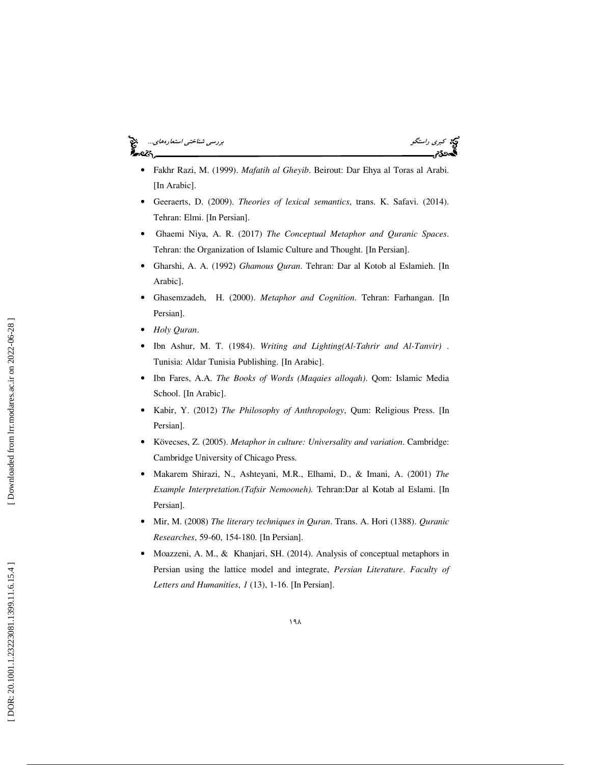### كبري راستگو بررسي شناختي استعارههاي... .e2s



- Fakhr Razi, M. (1999). *Mafatih al Gheyib*. Beirout: Dar Ehya al Toras al Arabi. [In Arabic].
- Geeraerts, D. (2009). *Theories of lexical semantics*, trans. K. Safavi. (2014). Tehran: Elmi. [In Persian].
- Ghaemi Niya, A. R. (2017) *The Conceptual Metaphor and Quranic Spaces*. Tehran: the Organization of Islamic Culture and Thought. [In Persian].
- Gharshi, A. A. (1992) *Ghamous Quran*. Tehran: Dar al Kotob al Eslamieh. [In Arabic].
- Ghasemzadeh, H. (2000). *Metaphor and Cognition*. Tehran: Farhangan. [In Persian].
- *Holy Quran* .
- Ibn Ashur, M. T. (1984). *Writing and Lighting(Al-Tahrir and Al-Tanvir)* . Tunisia: Aldar Tunisia Publishing. [In Arabic].
- Ibn Fares, A.A. *The Books of Words (Maqaies alloqah)*. Qom: Islamic Media School. [In Arabic].
- Kabir, Y. (2012) *The Philosophy of Anthropology*, Qum: Religious Press. [In Persian].
- Kövecses, Z . (2005). *Metaphor in culture: Universality and variation*. Cambridge: Cambridge University of Chicago Press.
- Makarem Shirazi, N., Ashteyani, M.R., Elhami, D., & Imani, A. (2001) *The Example Interpretation.(Tafsir Nemooneh).* Tehran:Dar al Kotab al Eslami. [In Persian].
- Mir, M. (2008) *The literary techniques in Quran*. Trans. A. Hori (1388). *Quranic Researches*, 59-60, 154-180. [In Persian].
- Moazzeni, A. M., & Khanjari, SH. (2014). Analysis of conceptual metaphors in Persian using the lattice model and integrate, *Persian Literature*. *Faculty of Letters and Humanities*, *1* (13), 1-16. [In Persian].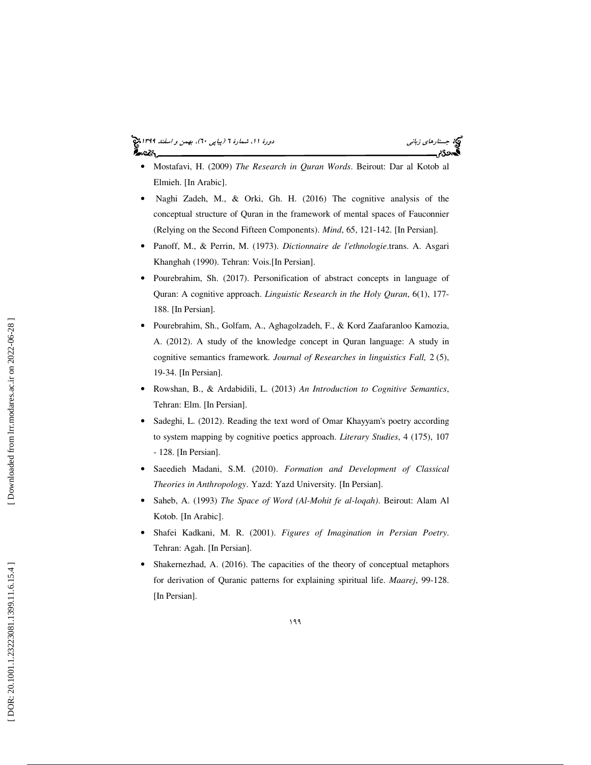### جستار*هاي زباني (بياپي 60)، بهمن و اسفند 1*994 هج ಹಿಂಜ

- Mostafavi, H. (2009) *The Research in Quran Words*. Beirout: Dar al Kotob al Elmieh. [In Arabic].
- Naghi Zadeh, M., & Orki, Gh. H. (2016) The cognitive analysis of the conceptual structure of Quran in the framework of mental spaces of Fauconnier (Relying on the Second Fifteen Components). *Mind*, 65, 121-142. [In Persian].
- Panoff, M., & Perrin, M. (1973). *Dictionnaire de l'ethnologie* .trans. A. Asgari Khanghah (1990). Tehran: Vois.[In Persian].
- Pourebrahim, Sh. (2017). Personification of abstract concepts in language of Quran: A cognitive approach. *Linguistic Research in the Holy Quran*, 6(1), 177- 188. [In Persian].
- Pourebrahim, Sh., Golfam, A., Aghagolzadeh, F., & Kord Zaafaranloo Kamozia, A. (2012). A study of the knowledge concept in Quran language: A study in cognitive semantics framework. *Journal of Researches in linguistics Fall,* 2 (5), 19-34. [In Persian].
- Rowshan, B., & Ardabidili, L. (2013) *An Introduction to Cognitive Semantics*, Tehran: Elm. [In Persian].
- Sadeghi, L. (2012). Reading the text word of Omar Khayyam's poetry according to system mapping by cognitive poetics approach. *Literary Studies*, 4 (175), 107 - 128. [In Persian].
- Saeedieh Madani, S.M. (2010). *Formation and Development of Classical Theories in Anthropology*. Yazd: Yazd University. [In Persian].
- Saheb, A. (1993) *The Space of Word (Al-Mohit fe al-loqah)*. Beirout: Alam Al Kotob. [In Arabic].
- Shafei Kadkani, M. R. (2001). *Figures of Imagination in Persian Poetry*. Tehran: Agah. [In Persian].
- Shakernezhad, A. (2016). The capacities of the theory of conceptual metaphors for derivation of Quranic patterns for explaining spiritual life. *Maarej*, 99-128. [In Persian].